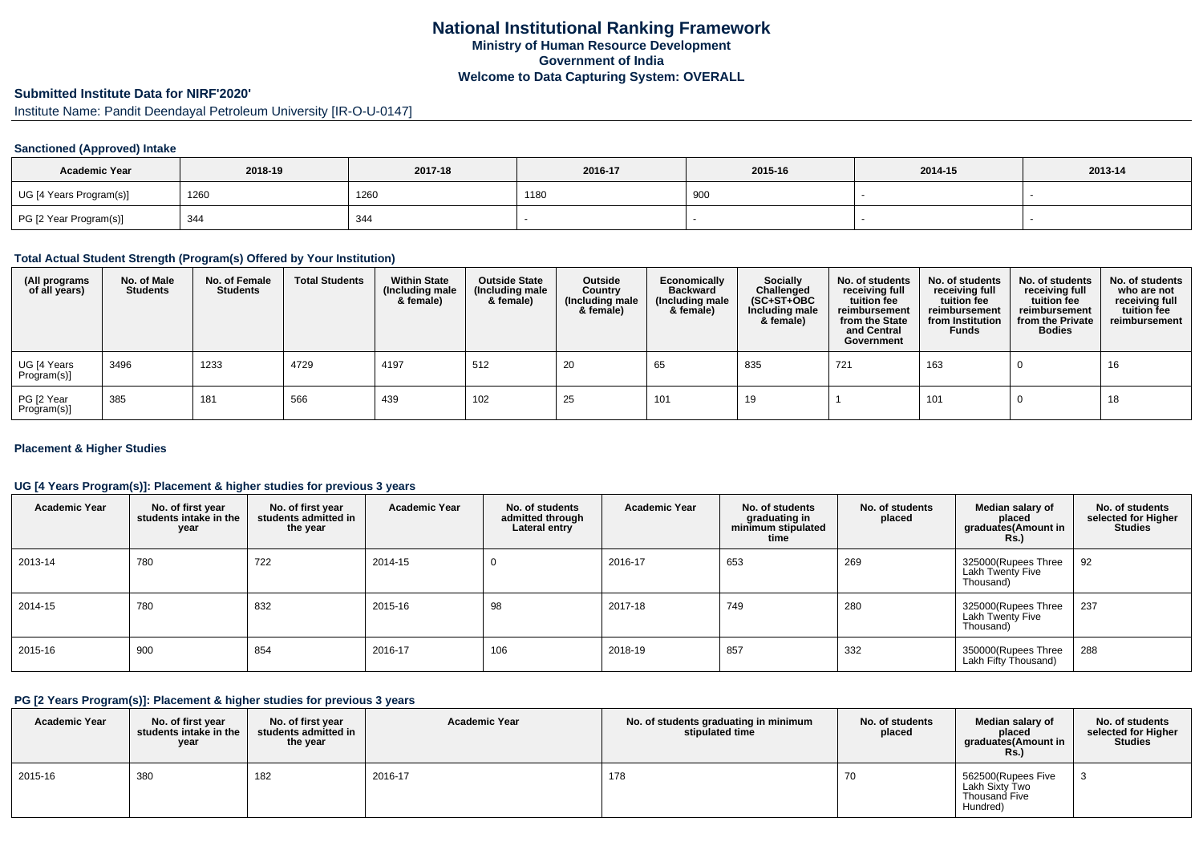# **Submitted Institute Data for NIRF'2020'**

Institute Name: Pandit Deendayal Petroleum University [IR-O-U-0147]

#### **Sanctioned (Approved) Intake**

| <b>Academic Year</b>    | 2018-19 | 2017-18 | 2016-17 | 2015-16    | 2014-15 | 2013-14 |
|-------------------------|---------|---------|---------|------------|---------|---------|
| UG [4 Years Program(s)] | 1260    | 1260    | 1180    | anr<br>ಀಀಀ |         |         |
| PG [2 Year Program(s)]  | 344     | 344     |         |            |         |         |

#### **Total Actual Student Strength (Program(s) Offered by Your Institution)**

| (All programs<br>of all years) | No. of Male<br><b>Students</b> | No. of Female<br><b>Students</b> | <b>Total Students</b> | <b>Within State</b><br>(Including male<br>& female) | <b>Outside State</b><br>(Including male<br>& female) | Outside<br>Country<br>(Including male<br>& female) | Economically<br><b>Backward</b><br>(Including male<br>& female) | <b>Socially</b><br>Challenged<br>$(SC+ST+OBC)$<br>Including male<br>& female) | No. of students<br>receiving full<br>tuition fee<br>reimbursement<br>from the State<br>and Central<br>Government | No. of students<br>receiving full<br>tuition fee<br>reimbursement<br>from Institution<br><b>Funds</b> | No. of students<br>receiving full<br>tuition fee<br>reimbursement<br>from the Private<br><b>Bodies</b> | No. of students<br>who are not<br>receiving full<br>tuition fee<br>reimbursement |
|--------------------------------|--------------------------------|----------------------------------|-----------------------|-----------------------------------------------------|------------------------------------------------------|----------------------------------------------------|-----------------------------------------------------------------|-------------------------------------------------------------------------------|------------------------------------------------------------------------------------------------------------------|-------------------------------------------------------------------------------------------------------|--------------------------------------------------------------------------------------------------------|----------------------------------------------------------------------------------|
| UG [4 Years<br>Program(s)]     | 3496                           | 1233                             | 4729                  | 4197                                                | 512                                                  | 20                                                 | 65                                                              | 835                                                                           | 721                                                                                                              | 163                                                                                                   |                                                                                                        | 16                                                                               |
| PG [2 Year<br>Program(s)]      | 385                            | 181                              | 566                   | 439                                                 | 102                                                  | 25                                                 | 101                                                             | 19                                                                            |                                                                                                                  | 101                                                                                                   |                                                                                                        | 18                                                                               |

#### **Placement & Higher Studies**

#### **UG [4 Years Program(s)]: Placement & higher studies for previous 3 years**

| <b>Academic Year</b> | No. of first year<br>students intake in the<br>year | No. of first year<br>students admitted in<br>the year | <b>Academic Year</b> | No. of students<br>admitted through<br>Lateral entry | <b>Academic Year</b> | No. of students<br>graduating in<br>minimum stipulated<br>time | No. of students<br>placed | Median salary of<br>placed<br>graduates(Amount in<br><b>Rs.</b> ) | No. of students<br>selected for Higher<br><b>Studies</b> |
|----------------------|-----------------------------------------------------|-------------------------------------------------------|----------------------|------------------------------------------------------|----------------------|----------------------------------------------------------------|---------------------------|-------------------------------------------------------------------|----------------------------------------------------------|
| 2013-14              | 780                                                 | 722                                                   | 2014-15              | 0                                                    | 2016-17              | 653                                                            | 269                       | 325000(Rupees Three<br>Lakh Twenty Five<br>Thousand)              | 92                                                       |
| 2014-15              | 780                                                 | 832                                                   | 2015-16              | 98                                                   | 2017-18              | 749                                                            | 280                       | 325000(Rupees Three<br>Lakh Twenty Five<br>Thousand)              | 237                                                      |
| 2015-16              | 900                                                 | 854                                                   | 2016-17              | 106                                                  | 2018-19              | 857                                                            | 332                       | 350000(Rupees Three<br>Lakh Fifty Thousand)                       | 288                                                      |

#### **PG [2 Years Program(s)]: Placement & higher studies for previous 3 years**

| <b>Academic Year</b> | No. of first year<br>students intake in the<br>year | No. of first year<br>students admitted in<br>the year | <b>Academic Year</b> | No. of students graduating in minimum<br>stipulated time | No. of students<br>placed | Median salary of<br>placed<br>graduates(Amount in<br><b>Rs.</b> ) | No. of students<br>selected for Higher<br>Studies |
|----------------------|-----------------------------------------------------|-------------------------------------------------------|----------------------|----------------------------------------------------------|---------------------------|-------------------------------------------------------------------|---------------------------------------------------|
| 2015-16              | 380                                                 | 182                                                   | 2016-17              | 178                                                      | 70                        | 562500(Rupees Five<br>Lakh Sixty Two<br>Thousand Five<br>Hundred) |                                                   |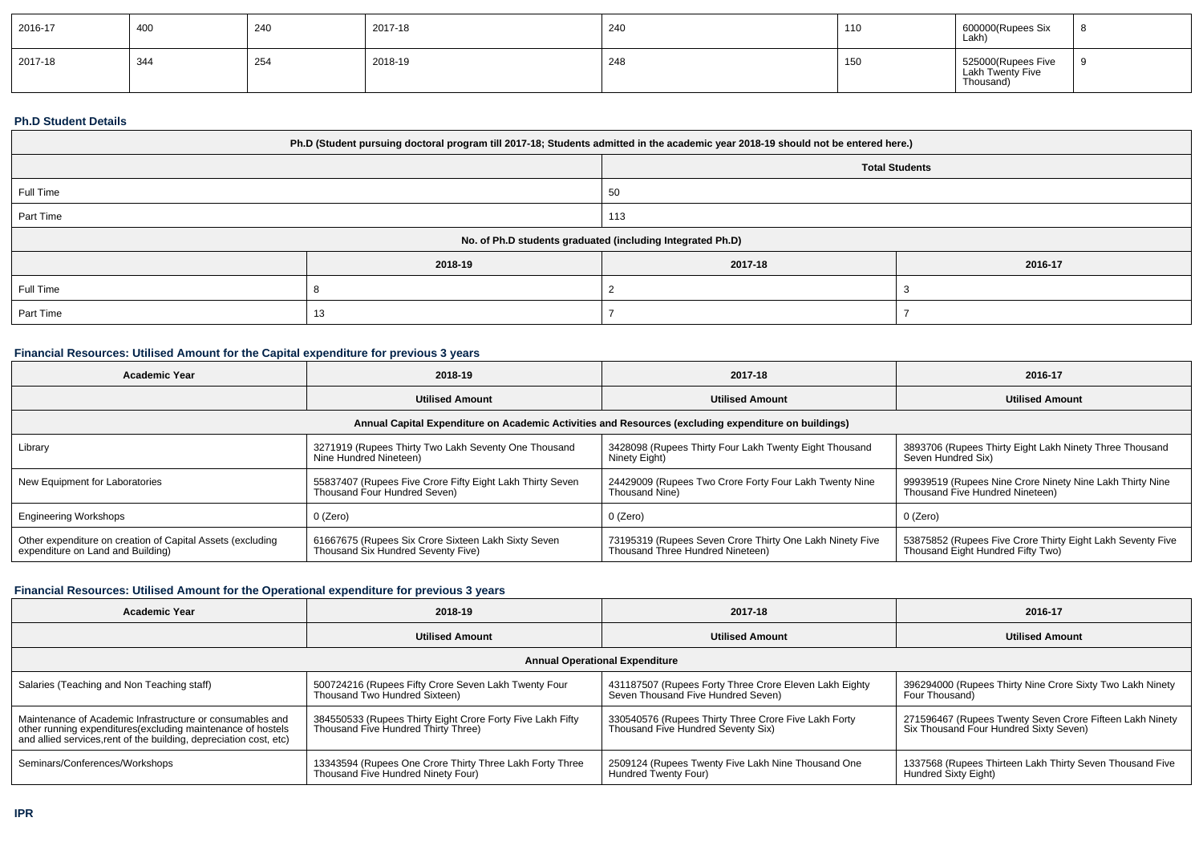| $ 2016-17$  | 40C | 240 | 2017-18      | 240 | 110 | 600000(Rupees Six<br>Lakh)                          |  |
|-------------|-----|-----|--------------|-----|-----|-----------------------------------------------------|--|
| $2017 - 18$ | 344 | 254 | 2018-19<br>. | 248 | 150 | 525000(Rupees Five<br>Lakh Twenty Five<br>Thousand) |  |

#### **Ph.D Student Details**

| Ph.D (Student pursuing doctoral program till 2017-18; Students admitted in the academic year 2018-19 should not be entered here.) |         |                                                            |         |  |  |  |
|-----------------------------------------------------------------------------------------------------------------------------------|---------|------------------------------------------------------------|---------|--|--|--|
| <b>Total Students</b>                                                                                                             |         |                                                            |         |  |  |  |
| Full Time<br>50                                                                                                                   |         |                                                            |         |  |  |  |
| Part Time                                                                                                                         |         | 113                                                        |         |  |  |  |
|                                                                                                                                   |         | No. of Ph.D students graduated (including Integrated Ph.D) |         |  |  |  |
|                                                                                                                                   | 2018-19 | 2017-18                                                    | 2016-17 |  |  |  |
| Full Time                                                                                                                         |         |                                                            |         |  |  |  |
| Part Time                                                                                                                         |         |                                                            |         |  |  |  |

## **Financial Resources: Utilised Amount for the Capital expenditure for previous 3 years**

| Academic Year                                                                                        | 2018-19                                                                                   | 2017-18                                                                                      | 2016-17                                                                                         |  |  |  |  |
|------------------------------------------------------------------------------------------------------|-------------------------------------------------------------------------------------------|----------------------------------------------------------------------------------------------|-------------------------------------------------------------------------------------------------|--|--|--|--|
|                                                                                                      | <b>Utilised Amount</b>                                                                    | <b>Utilised Amount</b>                                                                       | <b>Utilised Amount</b>                                                                          |  |  |  |  |
| Annual Capital Expenditure on Academic Activities and Resources (excluding expenditure on buildings) |                                                                                           |                                                                                              |                                                                                                 |  |  |  |  |
| Library                                                                                              | 3271919 (Rupees Thirty Two Lakh Seventy One Thousand<br>Nine Hundred Nineteen)            | 3428098 (Rupees Thirty Four Lakh Twenty Eight Thousand<br>Ninety Eight)                      | 3893706 (Rupees Thirty Eight Lakh Ninety Three Thousand<br>Seven Hundred Six)                   |  |  |  |  |
| New Equipment for Laboratories                                                                       | 55837407 (Rupees Five Crore Fifty Eight Lakh Thirty Seven<br>Thousand Four Hundred Seven) | 24429009 (Rupees Two Crore Forty Four Lakh Twenty Nine<br>Thousand Nine)                     | 99939519 (Rupees Nine Crore Ninety Nine Lakh Thirty Nine<br>Thousand Five Hundred Nineteen)     |  |  |  |  |
| <b>Engineering Workshops</b>                                                                         | 0 (Zero)                                                                                  | 0 (Zero)                                                                                     | 0 (Zero)                                                                                        |  |  |  |  |
| Other expenditure on creation of Capital Assets (excluding<br>expenditure on Land and Building)      | 61667675 (Rupees Six Crore Sixteen Lakh Sixty Seven<br>Thousand Six Hundred Seventy Five) | 73195319 (Rupees Seven Crore Thirty One Lakh Ninety Five<br>Thousand Three Hundred Nineteen) | 53875852 (Rupees Five Crore Thirty Eight Lakh Seventy Five<br>Thousand Eight Hundred Fifty Two) |  |  |  |  |

## **Financial Resources: Utilised Amount for the Operational expenditure for previous 3 years**

| <b>Academic Year</b>                                                                                                                                                                            | 2018-19                                                                                           | 2017-18                                                                                      | 2016-17                                                                                            |  |  |  |  |  |
|-------------------------------------------------------------------------------------------------------------------------------------------------------------------------------------------------|---------------------------------------------------------------------------------------------------|----------------------------------------------------------------------------------------------|----------------------------------------------------------------------------------------------------|--|--|--|--|--|
|                                                                                                                                                                                                 | <b>Utilised Amount</b>                                                                            | <b>Utilised Amount</b>                                                                       | <b>Utilised Amount</b>                                                                             |  |  |  |  |  |
| <b>Annual Operational Expenditure</b>                                                                                                                                                           |                                                                                                   |                                                                                              |                                                                                                    |  |  |  |  |  |
| Salaries (Teaching and Non Teaching staff)                                                                                                                                                      | 500724216 (Rupees Fifty Crore Seven Lakh Twenty Four<br>Thousand Two Hundred Sixteen)             | 431187507 (Rupees Forty Three Crore Eleven Lakh Eighty<br>Seven Thousand Five Hundred Seven) | 396294000 (Rupees Thirty Nine Crore Sixty Two Lakh Ninety<br>Four Thousand)                        |  |  |  |  |  |
| Maintenance of Academic Infrastructure or consumables and<br>other running expenditures (excluding maintenance of hostels<br>and allied services, rent of the building, depreciation cost, etc) | 384550533 (Rupees Thirty Eight Crore Forty Five Lakh Fifty<br>Thousand Five Hundred Thirty Three) | 330540576 (Rupees Thirty Three Crore Five Lakh Forty<br>Thousand Five Hundred Seventy Six)   | 271596467 (Rupees Twenty Seven Crore Fifteen Lakh Ninety<br>Six Thousand Four Hundred Sixty Seven) |  |  |  |  |  |
| Seminars/Conferences/Workshops                                                                                                                                                                  | 13343594 (Rupees One Crore Thirty Three Lakh Forty Three<br>Thousand Five Hundred Ninety Four)    | 2509124 (Rupees Twenty Five Lakh Nine Thousand One<br>Hundred Twenty Four)                   | 1337568 (Rupees Thirteen Lakh Thirty Seven Thousand Five<br>Hundred Sixty Eight)                   |  |  |  |  |  |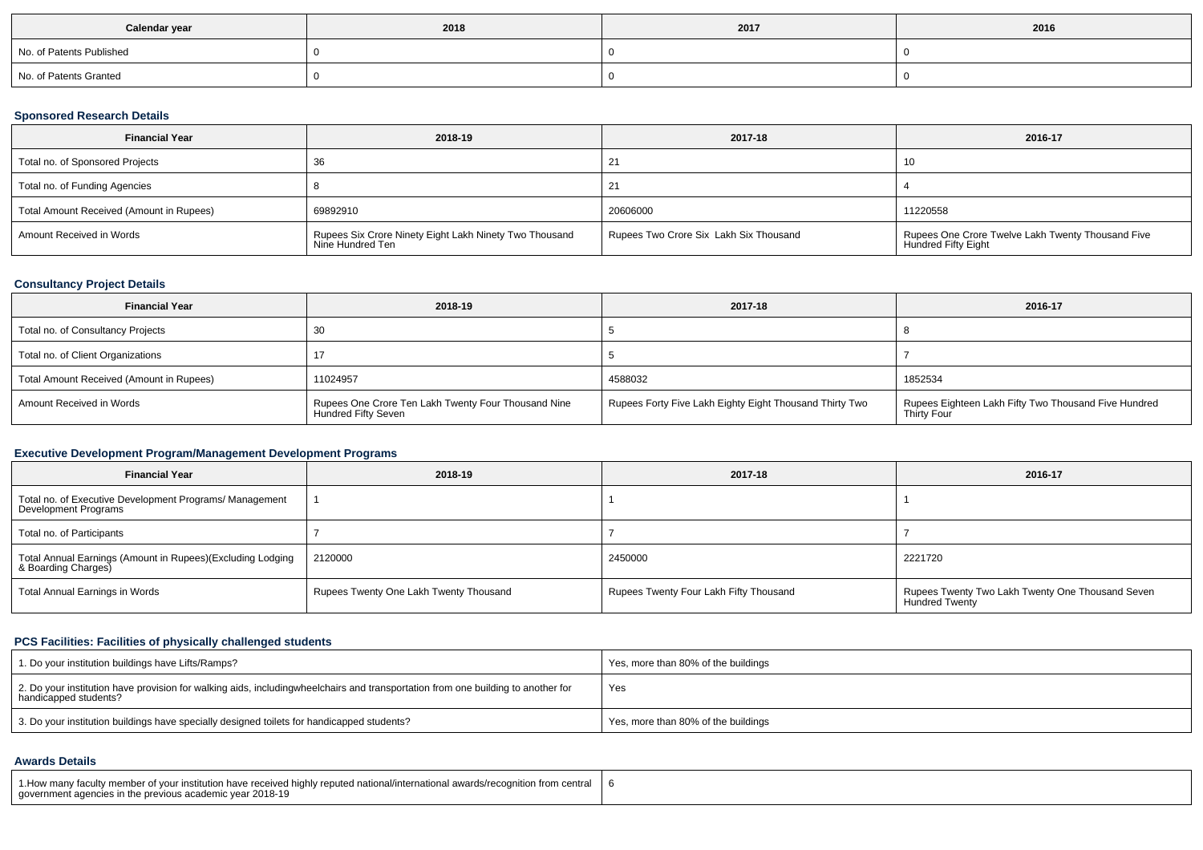| Calendar year            | 2018 | 2017 | 2016 |
|--------------------------|------|------|------|
| No. of Patents Published |      |      |      |
| No. of Patents Granted   |      |      |      |

## **Sponsored Research Details**

| <b>Financial Year</b>                    | 2018-19                                                                    | 2017-18                                | 2016-17                                                                  |
|------------------------------------------|----------------------------------------------------------------------------|----------------------------------------|--------------------------------------------------------------------------|
| Total no. of Sponsored Projects          | -36                                                                        |                                        | 10                                                                       |
| Total no. of Funding Agencies            |                                                                            |                                        |                                                                          |
| Total Amount Received (Amount in Rupees) | 69892910                                                                   | 20606000                               | 11220558                                                                 |
| Amount Received in Words                 | Rupees Six Crore Ninety Eight Lakh Ninety Two Thousand<br>Nine Hundred Ten | Rupees Two Crore Six Lakh Six Thousand | Rupees One Crore Twelve Lakh Twenty Thousand Five<br>Hundred Fifty Eight |

## **Consultancy Project Details**

| <b>Financial Year</b>                    | 2018-19                                                                           | 2017-18                                                 | 2016-17                                                             |
|------------------------------------------|-----------------------------------------------------------------------------------|---------------------------------------------------------|---------------------------------------------------------------------|
| Total no. of Consultancy Projects        | 30                                                                                |                                                         |                                                                     |
| Total no. of Client Organizations        |                                                                                   |                                                         |                                                                     |
| Total Amount Received (Amount in Rupees) | 11024957                                                                          | 4588032                                                 | 1852534                                                             |
| Amount Received in Words                 | Rupees One Crore Ten Lakh Twenty Four Thousand Nine<br><b>Hundred Fifty Seven</b> | Rupees Forty Five Lakh Eighty Eight Thousand Thirty Two | Rupees Eighteen Lakh Fifty Two Thousand Five Hundred<br>Thirty Four |

## **Executive Development Program/Management Development Programs**

| <b>Financial Year</b>                                                             | 2018-19                                | 2017-18                                | 2016-17                                                                   |
|-----------------------------------------------------------------------------------|----------------------------------------|----------------------------------------|---------------------------------------------------------------------------|
| Total no. of Executive Development Programs/ Management<br>Development Programs   |                                        |                                        |                                                                           |
| Total no. of Participants                                                         |                                        |                                        |                                                                           |
| Total Annual Earnings (Amount in Rupees)(Excluding Lodging<br>& Boarding Charges) | 2120000                                | 2450000                                | 2221720                                                                   |
| Total Annual Earnings in Words                                                    | Rupees Twenty One Lakh Twenty Thousand | Rupees Twenty Four Lakh Fifty Thousand | Rupees Twenty Two Lakh Twenty One Thousand Seven<br><b>Hundred Twenty</b> |

## **PCS Facilities: Facilities of physically challenged students**

| 1. Do your institution buildings have Lifts/Ramps?                                                                                                        | Yes, more than 80% of the buildings |
|-----------------------------------------------------------------------------------------------------------------------------------------------------------|-------------------------------------|
| 2. Do your institution have provision for walking aids, includingwheelchairs and transportation from one building to another for<br>handicapped students? | Yes                                 |
| 3. Do your institution buildings have specially designed toilets for handicapped students?                                                                | Yes, more than 80% of the buildings |

#### **Awards Details**

| 1. How many faculty member of your institution have received highly reputed national/international awards/recognition from central<br>aovernment agencies in the previous academic vear 2018-19 |  |
|-------------------------------------------------------------------------------------------------------------------------------------------------------------------------------------------------|--|
|-------------------------------------------------------------------------------------------------------------------------------------------------------------------------------------------------|--|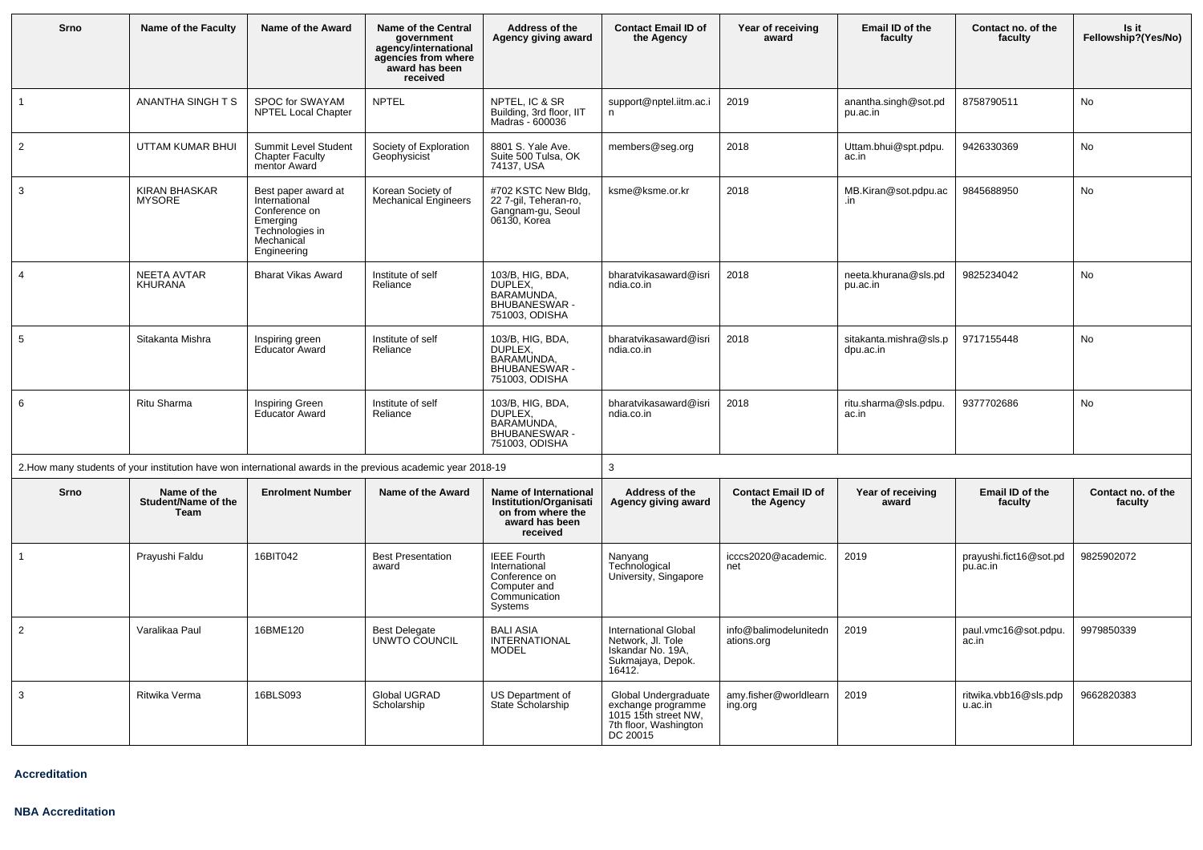| Srno           | Name of the Faculty                        | Name of the Award                                                                                                 | <b>Name of the Central</b><br>government<br>agency/international<br>agencies from where<br>award has been<br>received | Address of the<br>Agency giving award                                                                     | <b>Contact Email ID of</b><br>the Agency                                                                | Year of receiving<br>award               | Email ID of the<br>faculty          | Contact no. of the<br>faculty      | Is it<br>Fellowship?(Yes/No)  |  |
|----------------|--------------------------------------------|-------------------------------------------------------------------------------------------------------------------|-----------------------------------------------------------------------------------------------------------------------|-----------------------------------------------------------------------------------------------------------|---------------------------------------------------------------------------------------------------------|------------------------------------------|-------------------------------------|------------------------------------|-------------------------------|--|
| $\mathbf{1}$   | ANANTHA SINGHTS                            | SPOC for SWAYAM<br><b>NPTEL Local Chapter</b>                                                                     | <b>NPTEL</b>                                                                                                          | NPTEL, IC & SR<br>Building, 3rd floor, IIT<br>Madras - 600036                                             | support@nptel.iitm.ac.i<br>n.                                                                           | 2019                                     | anantha.singh@sot.pd<br>pu.ac.in    | 8758790511                         | No                            |  |
| $\overline{2}$ | UTTAM KUMAR BHUI                           | Summit Level Student<br><b>Chapter Faculty</b><br>mentor Award                                                    | Society of Exploration<br><b>Geophysicist</b>                                                                         | 8801 S. Yale Ave.<br>Suite 500 Tulsa, OK<br>74137, USA                                                    | members@seg.org                                                                                         | 2018                                     | Uttam.bhui@spt.pdpu.<br>ac.in       | 9426330369                         | No                            |  |
| $\mathbf{3}$   | <b>KIRAN BHASKAR</b><br><b>MYSORE</b>      | Best paper award at<br>International<br>Conference on<br>Emerging<br>Technologies in<br>Mechanical<br>Engineering | Korean Society of<br><b>Mechanical Engineers</b>                                                                      | #702 KSTC New Bldg,<br>22 7-gil, Teheran-ro,<br>Gangnam-gu, Seoul<br>06130, Korea                         | ksme@ksme.or.kr                                                                                         | 2018                                     | MB.Kiran@sot.pdpu.ac<br>.in         | 9845688950                         | No                            |  |
| $\overline{4}$ | NEETA AVTAR<br>KHURANA                     | <b>Bharat Vikas Award</b>                                                                                         | Institute of self<br>Reliance                                                                                         | 103/B, HIG, BDA,<br>DUPLEX.<br>BARAMUNDA,<br><b>BHUBANESWAR -</b><br>751003, ODISHA                       | bharatvikasaward@isri<br>ndia.co.in                                                                     | 2018                                     | neeta.khurana@sls.pd<br>pu.ac.in    | 9825234042                         | No                            |  |
| 5              | Sitakanta Mishra                           | Inspiring green<br><b>Educator Award</b>                                                                          | Institute of self<br>Reliance                                                                                         | 103/B, HIG, BDA,<br>DUPLEX.<br>BARAMUNDA,<br><b>BHUBANESWAR -</b><br>751003, ODISHA                       | bharatvikasaward@isri<br>ndia.co.in                                                                     | 2018                                     | sitakanta.mishra@sls.p<br>dpu.ac.in | 9717155448                         | <b>No</b>                     |  |
| 6              | Ritu Sharma                                | <b>Inspiring Green</b><br><b>Educator Award</b>                                                                   | Institute of self<br>Reliance                                                                                         | 103/B, HIG, BDA,<br>DUPLEX,<br>BARAMUNDA,<br>BHUBANESWAR -<br>751003, ODISHA                              | bharatvikasaward@isri<br>ndia.co.in                                                                     | 2018                                     | ritu.sharma@sls.pdpu.<br>ac.in      | 9377702686                         | No                            |  |
|                |                                            |                                                                                                                   | 2. How many students of your institution have won international awards in the previous academic year 2018-19          |                                                                                                           | 3                                                                                                       |                                          |                                     |                                    |                               |  |
| Srno           | Name of the<br>Student/Name of the<br>Team | <b>Enrolment Number</b>                                                                                           | Name of the Award                                                                                                     | Name of International<br><b>Institution/Organisati</b><br>on from where the<br>award has been<br>received | Address of the<br>Agency giving award                                                                   | <b>Contact Email ID of</b><br>the Agency | Year of receiving<br>award          | Email ID of the<br>faculty         | Contact no. of the<br>faculty |  |
| $\mathbf{1}$   | Prayushi Faldu                             | 16BIT042                                                                                                          | <b>Best Presentation</b><br>award                                                                                     | <b>IEEE Fourth</b><br>International<br>Conference on<br>Computer and<br>Communication<br>Systems          | Nanyang<br>Technological<br>University, Singapore                                                       | icccs2020@academic.<br>net               | 2019                                | prayushi.fict16@sot.pd<br>pu.ac.in | 9825902072                    |  |
| 2              | Varalikaa Paul                             | 16BME120                                                                                                          | <b>Best Delegate</b><br>UNWTO COUNCIL                                                                                 | <b>BALI ASIA</b><br><b>INTERNATIONAL</b><br><b>MODEL</b>                                                  | International Global<br>Network, Jl. Tole<br>Iskandar No. 19A.<br>Sukmajaya, Depok.<br>16412.           | info@balimodelunitedn<br>ations.org      | 2019                                | paul.vmc16@sot.pdpu.<br>ac.in      | 9979850339                    |  |
| $\mathbf{3}$   | Ritwika Verma                              | 16BLS093                                                                                                          | Global UGRAD<br>Scholarship                                                                                           | US Department of<br>State Scholarship                                                                     | Global Undergraduate<br>exchange programme<br>1015 15th street NW,<br>7th floor, Washington<br>DC 20015 | amy.fisher@worldlearn<br>ing.org         | 2019                                | ritwika.vbb16@sls.pdp<br>u.ac.in   | 9662820383                    |  |

**Accreditation**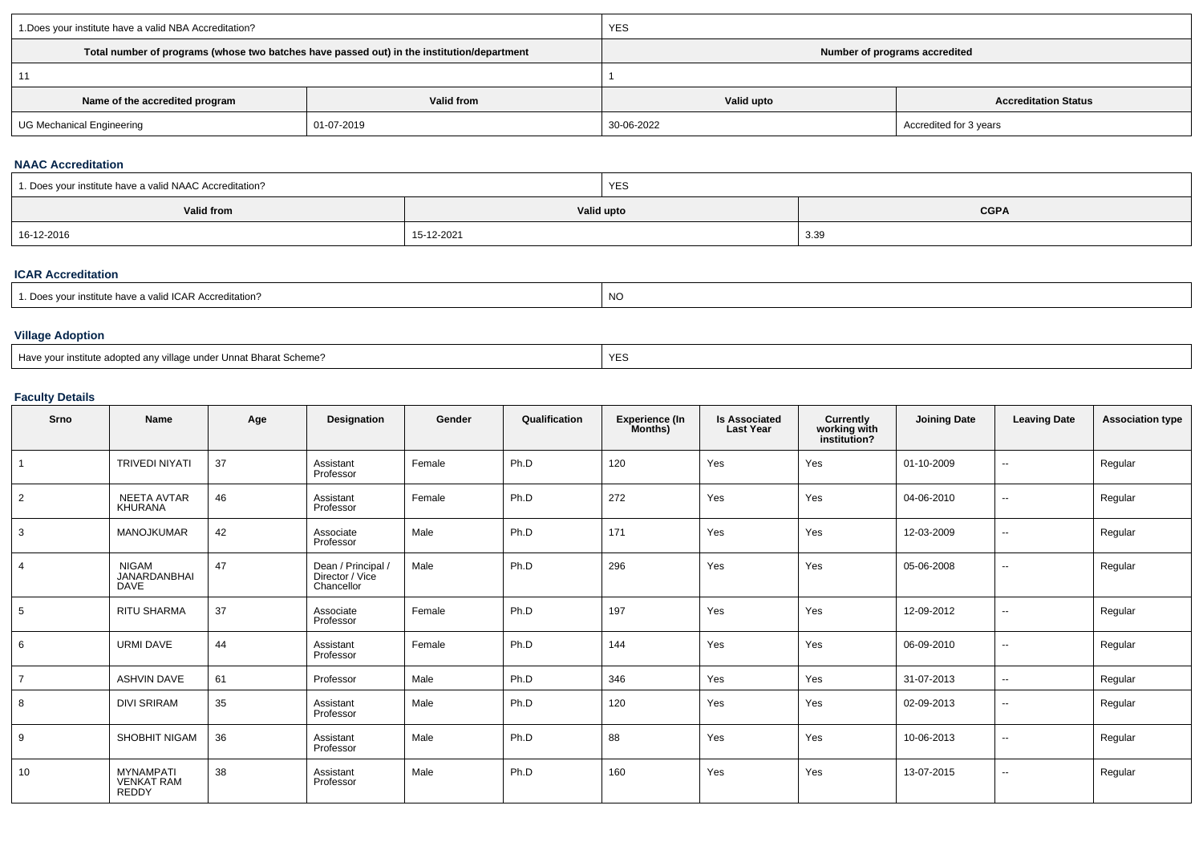| 1. Does your institute have a valid NBA Accreditation? |                                                                                            | <b>YES</b>                    |                             |  |  |  |
|--------------------------------------------------------|--------------------------------------------------------------------------------------------|-------------------------------|-----------------------------|--|--|--|
|                                                        | Total number of programs (whose two batches have passed out) in the institution/department | Number of programs accredited |                             |  |  |  |
|                                                        |                                                                                            |                               |                             |  |  |  |
| Name of the accredited program                         | Valid from                                                                                 | Valid upto                    | <b>Accreditation Status</b> |  |  |  |
| <b>UG Mechanical Engineering</b>                       | 01-07-2019                                                                                 | 30-06-2022                    | Accredited for 3 years      |  |  |  |

#### **NAAC Accreditation**

| <sup>1</sup> 1. Does your institute have a valid NAAC Accreditation? |            | <b>YES</b>                |      |  |  |  |
|----------------------------------------------------------------------|------------|---------------------------|------|--|--|--|
| Valid from                                                           |            | <b>CGPA</b><br>Valid upto |      |  |  |  |
| 16-12-2016                                                           | 15-12-2021 |                           | 3.39 |  |  |  |

## **ICAR Accreditation**

| es your institute have a valid ICAR Accreditation?<br>ിറല | NC. |
|-----------------------------------------------------------|-----|
|-----------------------------------------------------------|-----|

extending the contract of the contract of the contract of the contract of the contract of the contract of the contract of the contract of the contract of the contract of the contract of the contract of the contract of the

#### **Village Adoption**

Have your institute adopted any village under Unnat Bharat Scheme?

### **Faculty Details**

| Srno           | Name                                                  | Age | Designation                                         | Gender | Qualification | <b>Experience (In</b><br>Months) | <b>Is Associated</b><br><b>Last Year</b> | Currently<br>working with<br>institution? | <b>Joining Date</b> | <b>Leaving Date</b>      | <b>Association type</b> |
|----------------|-------------------------------------------------------|-----|-----------------------------------------------------|--------|---------------|----------------------------------|------------------------------------------|-------------------------------------------|---------------------|--------------------------|-------------------------|
| $\overline{1}$ | <b>TRIVEDI NIYATI</b>                                 | 37  | Assistant<br>Professor                              | Female | Ph.D          | 120                              | Yes                                      | Yes                                       | 01-10-2009          | $\overline{\phantom{a}}$ | Regular                 |
| 2              | <b>NEETA AVTAR</b><br><b>KHURANA</b>                  | 46  | Assistant<br>Professor                              | Female | Ph.D          | 272                              | Yes                                      | Yes                                       | 04-06-2010          | $\overline{a}$           | Regular                 |
| 3              | <b>MANOJKUMAR</b>                                     | 42  | Associate<br>Professor                              | Male   | Ph.D          | 171                              | Yes                                      | Yes                                       | 12-03-2009          | $\sim$                   | Regular                 |
| $\overline{4}$ | <b>NIGAM</b><br>JANARDANBHAI<br><b>DAVE</b>           | 47  | Dean / Principal /<br>Director / Vice<br>Chancellor | Male   | Ph.D          | 296                              | Yes                                      | Yes                                       | 05-06-2008          | $\sim$                   | Regular                 |
| 5              | <b>RITU SHARMA</b>                                    | 37  | Associate<br>Professor                              | Female | Ph.D          | 197                              | Yes                                      | Yes                                       | 12-09-2012          | $\sim$                   | Regular                 |
| 6              | <b>URMI DAVE</b>                                      | 44  | Assistant<br>Professor                              | Female | Ph.D          | 144                              | Yes                                      | Yes                                       | 06-09-2010          | $\overline{\phantom{a}}$ | Regular                 |
| $\overline{7}$ | <b>ASHVIN DAVE</b>                                    | 61  | Professor                                           | Male   | Ph.D          | 346                              | Yes                                      | Yes                                       | 31-07-2013          | $\overline{\phantom{a}}$ | Regular                 |
| 8              | <b>DIVI SRIRAM</b>                                    | 35  | Assistant<br>Professor                              | Male   | Ph.D          | 120                              | Yes                                      | Yes                                       | 02-09-2013          | $\sim$                   | Regular                 |
| 9              | SHOBHIT NIGAM                                         | 36  | Assistant<br>Professor                              | Male   | Ph.D          | 88                               | Yes                                      | Yes                                       | 10-06-2013          | $\sim$                   | Regular                 |
| 10             | <b>MYNAMPATI</b><br><b>VENKAT RAM</b><br><b>REDDY</b> | 38  | Assistant<br>Professor                              | Male   | Ph.D          | 160                              | Yes                                      | Yes                                       | 13-07-2015          | $\sim$                   | Regular                 |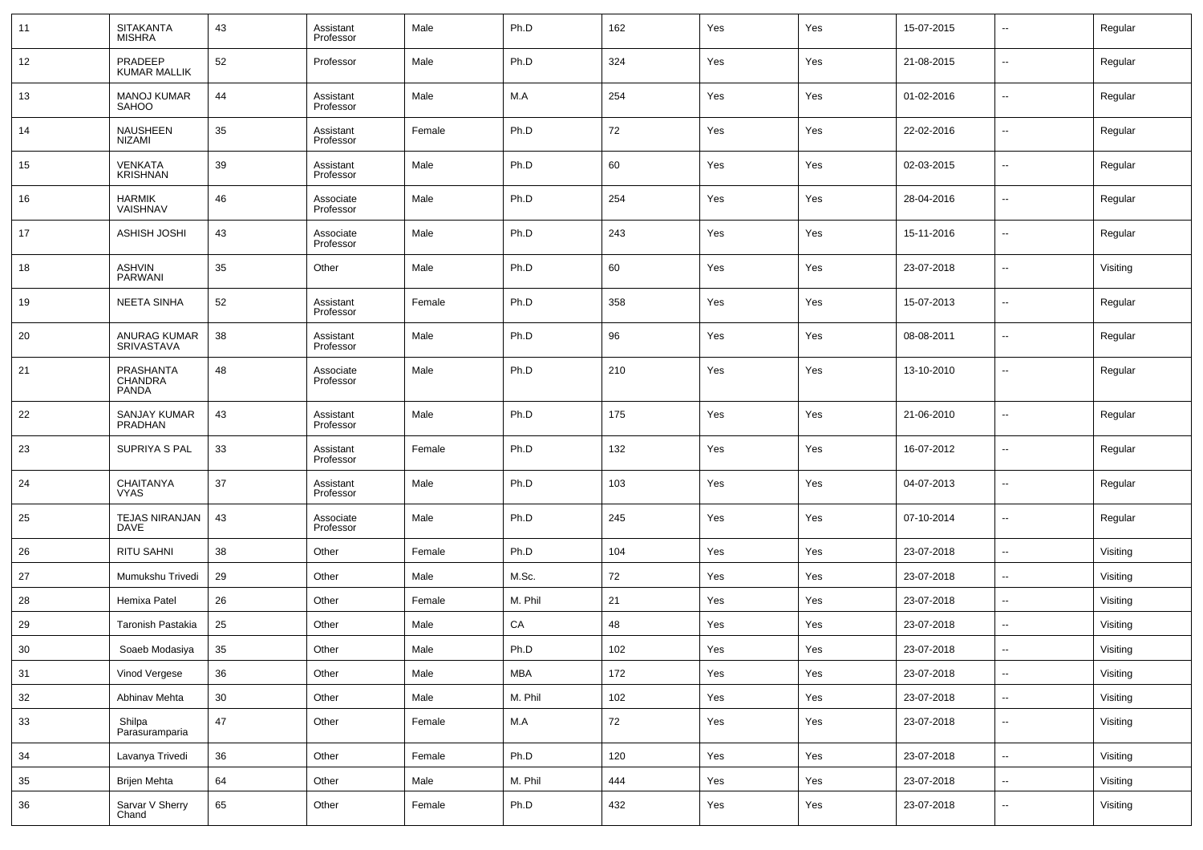| 11     | <b>SITAKANTA</b><br><b>MISHRA</b>     | 43     | Assistant<br>Professor | Male   | Ph.D       | 162 | Yes | Yes | 15-07-2015 | $\sim$                   | Regular  |
|--------|---------------------------------------|--------|------------------------|--------|------------|-----|-----|-----|------------|--------------------------|----------|
| 12     | PRADEEP<br>KUMAR MALLIK               | 52     | Professor              | Male   | Ph.D       | 324 | Yes | Yes | 21-08-2015 | --                       | Regular  |
| 13     | <b>MANOJ KUMAR</b><br><b>SAHOO</b>    | 44     | Assistant<br>Professor | Male   | M.A        | 254 | Yes | Yes | 01-02-2016 | $\overline{\phantom{a}}$ | Regular  |
| 14     | NAUSHEEN<br><b>NIZAMI</b>             | 35     | Assistant<br>Professor | Female | Ph.D       | 72  | Yes | Yes | 22-02-2016 | $\sim$                   | Regular  |
| 15     | <b>VENKATA</b><br>KRISHNAN            | 39     | Assistant<br>Professor | Male   | Ph.D       | 60  | Yes | Yes | 02-03-2015 | ш.                       | Regular  |
| 16     | <b>HARMIK</b><br>VAISHNAV             | 46     | Associate<br>Professor | Male   | Ph.D       | 254 | Yes | Yes | 28-04-2016 | $\overline{\phantom{a}}$ | Regular  |
| 17     | <b>ASHISH JOSHI</b>                   | 43     | Associate<br>Professor | Male   | Ph.D       | 243 | Yes | Yes | 15-11-2016 | ш.                       | Regular  |
| 18     | <b>ASHVIN</b><br><b>PARWANI</b>       | 35     | Other                  | Male   | Ph.D       | 60  | Yes | Yes | 23-07-2018 | $\overline{\phantom{a}}$ | Visiting |
| 19     | <b>NEETA SINHA</b>                    | 52     | Assistant<br>Professor | Female | Ph.D       | 358 | Yes | Yes | 15-07-2013 | --                       | Regular  |
| 20     | ANURAG KUMAR<br>SRIVASTAVA            | 38     | Assistant<br>Professor | Male   | Ph.D       | 96  | Yes | Yes | 08-08-2011 | $\overline{\phantom{a}}$ | Regular  |
| 21     | PRASHANTA<br>CHANDRA<br><b>PANDA</b>  | 48     | Associate<br>Professor | Male   | Ph.D       | 210 | Yes | Yes | 13-10-2010 | --                       | Regular  |
| 22     | <b>SANJAY KUMAR</b><br><b>PRADHAN</b> | 43     | Assistant<br>Professor | Male   | Ph.D       | 175 | Yes | Yes | 21-06-2010 | --                       | Regular  |
| 23     | SUPRIYA S PAL                         | 33     | Assistant<br>Professor | Female | Ph.D       | 132 | Yes | Yes | 16-07-2012 | --                       | Regular  |
| 24     | <b>CHAITANYA</b><br>VYAS              | 37     | Assistant<br>Professor | Male   | Ph.D       | 103 | Yes | Yes | 04-07-2013 | --                       | Regular  |
| 25     | <b>TEJAS NIRANJAN</b><br>DAVE         | 43     | Associate<br>Professor | Male   | Ph.D       | 245 | Yes | Yes | 07-10-2014 | --                       | Regular  |
| 26     | <b>RITU SAHNI</b>                     | 38     | Other                  | Female | Ph.D       | 104 | Yes | Yes | 23-07-2018 | --                       | Visiting |
| 27     | Mumukshu Trivedi                      | 29     | Other                  | Male   | M.Sc.      | 72  | Yes | Yes | 23-07-2018 | $\overline{\phantom{a}}$ | Visiting |
| 28     | Hemixa Patel                          | 26     | Other                  | Female | M. Phil    | 21  | Yes | Yes | 23-07-2018 | $\sim$                   | Visiting |
| 29     | Taronish Pastakia                     | 25     | Other                  | Male   | CA         | 48  | Yes | Yes | 23-07-2018 | --                       | Visiting |
| 30     | Soaeb Modasiya                        | 35     | Other                  | Male   | Ph.D       | 102 | Yes | Yes | 23-07-2018 | --                       | Visiting |
| 31     | Vinod Vergese                         | 36     | Other                  | Male   | <b>MBA</b> | 172 | Yes | Yes | 23-07-2018 | $\sim$                   | Visiting |
| $32\,$ | Abhinav Mehta                         | $30\,$ | Other                  | Male   | M. Phil    | 102 | Yes | Yes | 23-07-2018 | ٠.                       | Visiting |
| 33     | Shilpa<br>Parasuramparia              | 47     | Other                  | Female | M.A        | 72  | Yes | Yes | 23-07-2018 | ٠.                       | Visiting |
| 34     | Lavanya Trivedi                       | 36     | Other                  | Female | Ph.D       | 120 | Yes | Yes | 23-07-2018 | ω,                       | Visiting |
| 35     | <b>Brijen Mehta</b>                   | 64     | Other                  | Male   | M. Phil    | 444 | Yes | Yes | 23-07-2018 | $\overline{\phantom{a}}$ | Visiting |
| 36     | Sarvar V Sherry<br>Chand              | 65     | Other                  | Female | Ph.D       | 432 | Yes | Yes | 23-07-2018 | $\overline{\phantom{a}}$ | Visiting |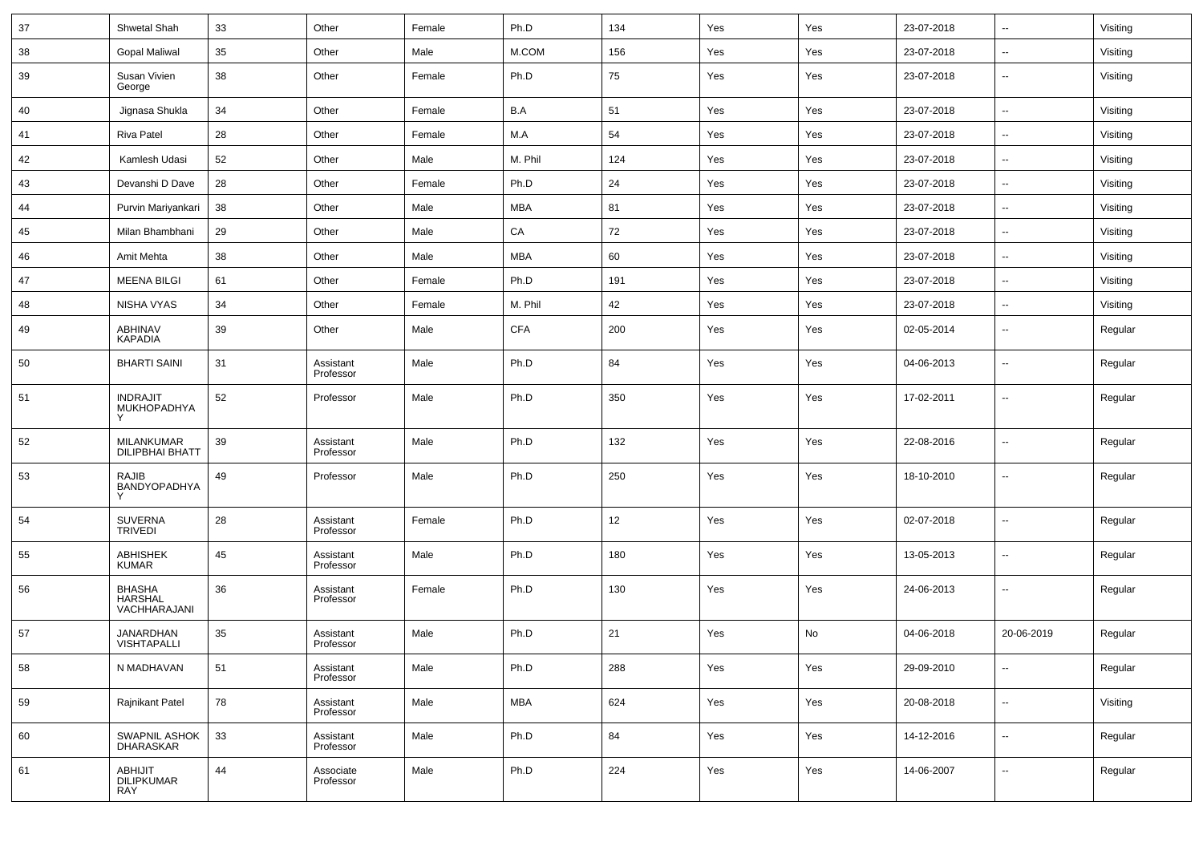| 37 | Shwetal Shah                               | 33 | Other                  | Female | Ph.D       | 134 | Yes | Yes | 23-07-2018 | --                       | Visiting |
|----|--------------------------------------------|----|------------------------|--------|------------|-----|-----|-----|------------|--------------------------|----------|
| 38 | <b>Gopal Maliwal</b>                       | 35 | Other                  | Male   | M.COM      | 156 | Yes | Yes | 23-07-2018 | --                       | Visiting |
| 39 | Susan Vivien<br>George                     | 38 | Other                  | Female | Ph.D       | 75  | Yes | Yes | 23-07-2018 | н.                       | Visiting |
| 40 | Jignasa Shukla                             | 34 | Other                  | Female | B.A        | 51  | Yes | Yes | 23-07-2018 | $\ddotsc$                | Visiting |
| 41 | Riva Patel                                 | 28 | Other                  | Female | M.A        | 54  | Yes | Yes | 23-07-2018 | $\sim$                   | Visiting |
| 42 | Kamlesh Udasi                              | 52 | Other                  | Male   | M. Phil    | 124 | Yes | Yes | 23-07-2018 | $\sim$                   | Visiting |
| 43 | Devanshi D Dave                            | 28 | Other                  | Female | Ph.D       | 24  | Yes | Yes | 23-07-2018 | $\overline{\phantom{a}}$ | Visiting |
| 44 | Purvin Mariyankari                         | 38 | Other                  | Male   | MBA        | 81  | Yes | Yes | 23-07-2018 | $\ddot{\phantom{1}}$     | Visiting |
| 45 | Milan Bhambhani                            | 29 | Other                  | Male   | CA         | 72  | Yes | Yes | 23-07-2018 | $\sim$                   | Visiting |
| 46 | Amit Mehta                                 | 38 | Other                  | Male   | <b>MBA</b> | 60  | Yes | Yes | 23-07-2018 | $\ddotsc$                | Visiting |
| 47 | <b>MEENA BILGI</b>                         | 61 | Other                  | Female | Ph.D       | 191 | Yes | Yes | 23-07-2018 | н.                       | Visiting |
| 48 | NISHA VYAS                                 | 34 | Other                  | Female | M. Phil    | 42  | Yes | Yes | 23-07-2018 | --                       | Visiting |
| 49 | <b>ABHINAV</b><br><b>KAPADIA</b>           | 39 | Other                  | Male   | <b>CFA</b> | 200 | Yes | Yes | 02-05-2014 | $\sim$                   | Regular  |
| 50 | <b>BHARTI SAINI</b>                        | 31 | Assistant<br>Professor | Male   | Ph.D       | 84  | Yes | Yes | 04-06-2013 | $\overline{\phantom{a}}$ | Regular  |
| 51 | <b>INDRAJIT</b><br>MUKHOPADHYA             | 52 | Professor              | Male   | Ph.D       | 350 | Yes | Yes | 17-02-2011 | $\sim$                   | Regular  |
| 52 | MILANKUMAR<br><b>DILIPBHAI BHATT</b>       | 39 | Assistant<br>Professor | Male   | Ph.D       | 132 | Yes | Yes | 22-08-2016 | --                       | Regular  |
| 53 | <b>RAJIB</b><br>BANDYOPADHYA<br>Y          | 49 | Professor              | Male   | Ph.D       | 250 | Yes | Yes | 18-10-2010 | $\ddotsc$                | Regular  |
| 54 | SUVERNA<br>TRIVEDI                         | 28 | Assistant<br>Professor | Female | Ph.D       | 12  | Yes | Yes | 02-07-2018 | $\overline{\phantom{a}}$ | Regular  |
| 55 | <b>ABHISHEK</b><br><b>KUMAR</b>            | 45 | Assistant<br>Professor | Male   | Ph.D       | 180 | Yes | Yes | 13-05-2013 | $\sim$                   | Regular  |
| 56 | BHASHA<br>HARSHAL<br>VACHHARAJANI          | 36 | Assistant<br>Professor | Female | Ph.D       | 130 | Yes | Yes | 24-06-2013 | $\overline{\phantom{a}}$ | Regular  |
| 57 | JANARDHAN<br>VISHTAPALLI                   | 35 | Assistant<br>Professor | Male   | Ph.D       | 21  | Yes | No  | 04-06-2018 | 20-06-2019               | Regular  |
| 58 | N MADHAVAN                                 | 51 | Assistant<br>Professor | Male   | Ph.D       | 288 | Yes | Yes | 29-09-2010 | $\sim$                   | Regular  |
| 59 | Rajnikant Patel                            | 78 | Assistant<br>Professor | Male   | <b>MBA</b> | 624 | Yes | Yes | 20-08-2018 | $\overline{\phantom{a}}$ | Visiting |
| 60 | SWAPNIL ASHOK<br><b>DHARASKAR</b>          | 33 | Assistant<br>Professor | Male   | Ph.D       | 84  | Yes | Yes | 14-12-2016 | $\sim$                   | Regular  |
| 61 | <b>ABHIJIT</b><br><b>DILIPKUMAR</b><br>RAY | 44 | Associate<br>Professor | Male   | Ph.D       | 224 | Yes | Yes | 14-06-2007 | $\overline{\phantom{a}}$ | Regular  |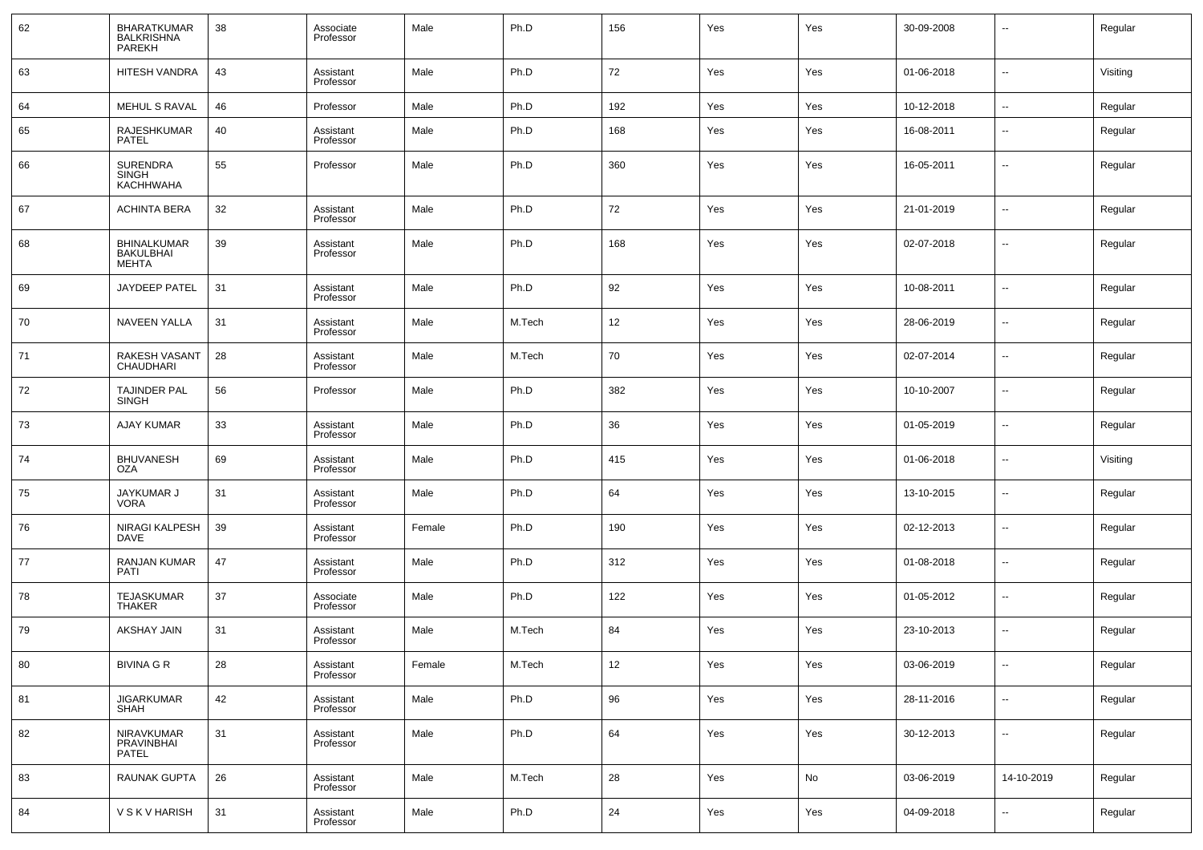| 62 | <b>BHARATKUMAR</b><br><b>BALKRISHNA</b><br>PAREKH      | 38 | Associate<br>Professor | Male   | Ph.D   | 156    | Yes | Yes | 30-09-2008 | --                       | Regular  |
|----|--------------------------------------------------------|----|------------------------|--------|--------|--------|-----|-----|------------|--------------------------|----------|
| 63 | HITESH VANDRA                                          | 43 | Assistant<br>Professor | Male   | Ph.D   | 72     | Yes | Yes | 01-06-2018 | --                       | Visiting |
| 64 | <b>MEHUL S RAVAL</b>                                   | 46 | Professor              | Male   | Ph.D   | 192    | Yes | Yes | 10-12-2018 | $\overline{\phantom{a}}$ | Regular  |
| 65 | RAJESHKUMAR<br><b>PATEL</b>                            | 40 | Assistant<br>Professor | Male   | Ph.D   | 168    | Yes | Yes | 16-08-2011 | --                       | Regular  |
| 66 | <b>SURENDRA</b><br><b>SINGH</b><br>KACHHWAHA           | 55 | Professor              | Male   | Ph.D   | 360    | Yes | Yes | 16-05-2011 | --                       | Regular  |
| 67 | <b>ACHINTA BERA</b>                                    | 32 | Assistant<br>Professor | Male   | Ph.D   | 72     | Yes | Yes | 21-01-2019 | --                       | Regular  |
| 68 | <b>BHINALKUMAR</b><br><b>BAKULBHAI</b><br><b>MEHTA</b> | 39 | Assistant<br>Professor | Male   | Ph.D   | 168    | Yes | Yes | 02-07-2018 | --                       | Regular  |
| 69 | JAYDEEP PATEL                                          | 31 | Assistant<br>Professor | Male   | Ph.D   | 92     | Yes | Yes | 10-08-2011 | --                       | Regular  |
| 70 | NAVEEN YALLA                                           | 31 | Assistant<br>Professor | Male   | M.Tech | 12     | Yes | Yes | 28-06-2019 | ۰.                       | Regular  |
| 71 | RAKESH VASANT<br>CHAUDHARI                             | 28 | Assistant<br>Professor | Male   | M.Tech | 70     | Yes | Yes | 02-07-2014 | ۰.                       | Regular  |
| 72 | TAJINDER PAL<br><b>SINGH</b>                           | 56 | Professor              | Male   | Ph.D   | 382    | Yes | Yes | 10-10-2007 | ۰.                       | Regular  |
| 73 | AJAY KUMAR                                             | 33 | Assistant<br>Professor | Male   | Ph.D   | 36     | Yes | Yes | 01-05-2019 | ۰.                       | Regular  |
| 74 | <b>BHUVANESH</b><br><b>OZA</b>                         | 69 | Assistant<br>Professor | Male   | Ph.D   | 415    | Yes | Yes | 01-06-2018 | ۰.                       | Visiting |
| 75 | JAYKUMAR J<br><b>VORA</b>                              | 31 | Assistant<br>Professor | Male   | Ph.D   | 64     | Yes | Yes | 13-10-2015 | ۰.                       | Regular  |
| 76 | NIRAGI KALPESH<br>DAVE                                 | 39 | Assistant<br>Professor | Female | Ph.D   | 190    | Yes | Yes | 02-12-2013 | --                       | Regular  |
| 77 | RANJAN KUMAR<br><b>PATI</b>                            | 47 | Assistant<br>Professor | Male   | Ph.D   | 312    | Yes | Yes | 01-08-2018 | --                       | Regular  |
| 78 | TEJASKUMAR<br><b>THAKER</b>                            | 37 | Associate<br>Professor | Male   | Ph.D   | 122    | Yes | Yes | 01-05-2012 | --                       | Regular  |
| 79 | AKSHAY JAIN                                            | 31 | Assistant<br>Professor | Male   | M.Tech | 84     | Yes | Yes | 23-10-2013 | --                       | Regular  |
| 80 | <b>BIVINA G R</b>                                      | 28 | Assistant<br>Professor | Female | M.Tech | 12     | Yes | Yes | 03-06-2019 | $\overline{\phantom{a}}$ | Regular  |
| 81 | <b>JIGARKUMAR</b><br><b>SHAH</b>                       | 42 | Assistant<br>Professor | Male   | Ph.D   | $96\,$ | Yes | Yes | 28-11-2016 | $\sim$                   | Regular  |
| 82 | NIRAVKUMAR<br>PRAVINBHAI<br>PATEL                      | 31 | Assistant<br>Professor | Male   | Ph.D   | 64     | Yes | Yes | 30-12-2013 | $\sim$                   | Regular  |
| 83 | RAUNAK GUPTA                                           | 26 | Assistant<br>Professor | Male   | M.Tech | 28     | Yes | No  | 03-06-2019 | 14-10-2019               | Regular  |
| 84 | V S K V HARISH                                         | 31 | Assistant<br>Professor | Male   | Ph.D   | 24     | Yes | Yes | 04-09-2018 | --                       | Regular  |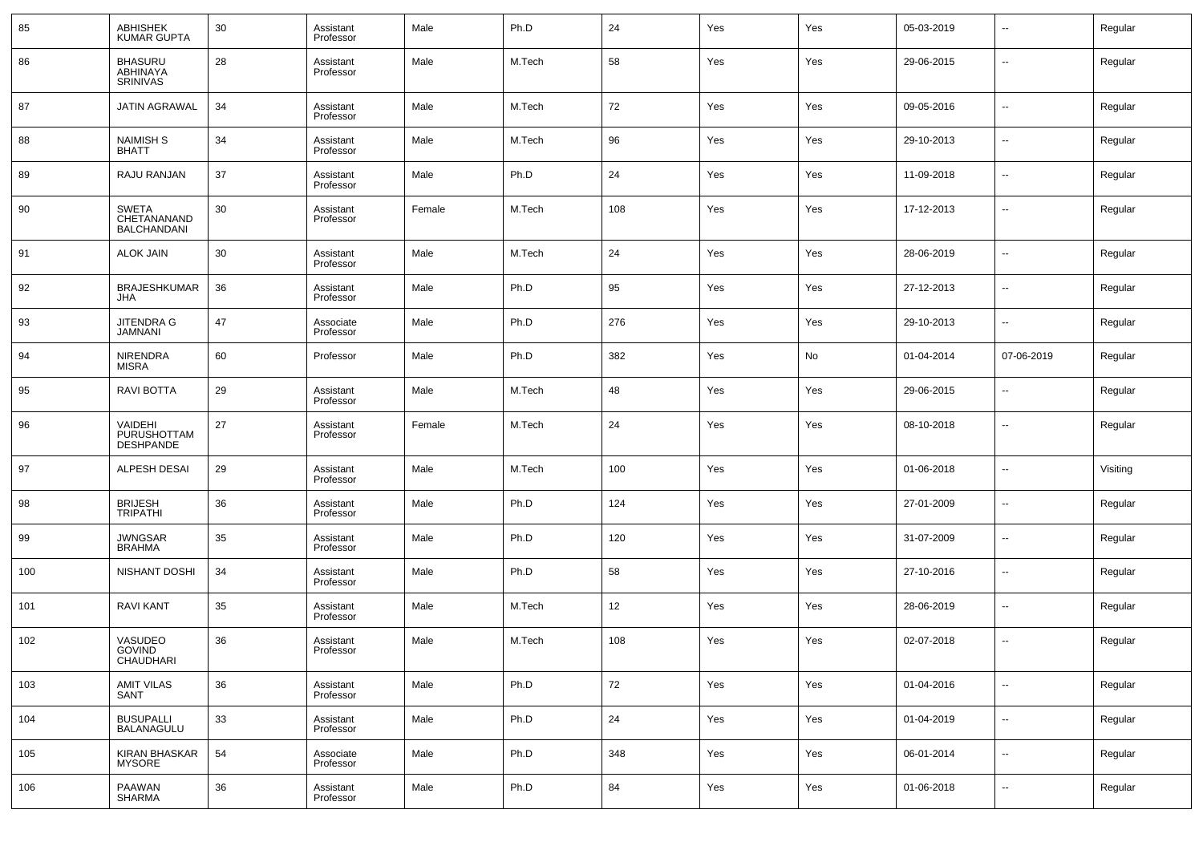| 85  | <b>ABHISHEK</b><br><b>KUMAR GUPTA</b>             | 30 | Assistant<br>Professor | Male   | Ph.D   | 24  | Yes | Yes | 05-03-2019 | --                       | Regular  |
|-----|---------------------------------------------------|----|------------------------|--------|--------|-----|-----|-----|------------|--------------------------|----------|
| 86  | <b>BHASURU</b><br>ABHINAYA<br><b>SRINIVAS</b>     | 28 | Assistant<br>Professor | Male   | M.Tech | 58  | Yes | Yes | 29-06-2015 | --                       | Regular  |
| 87  | JATIN AGRAWAL                                     | 34 | Assistant<br>Professor | Male   | M.Tech | 72  | Yes | Yes | 09-05-2016 | --                       | Regular  |
| 88  | <b>NAIMISH S</b><br><b>BHATT</b>                  | 34 | Assistant<br>Professor | Male   | M.Tech | 96  | Yes | Yes | 29-10-2013 | ш,                       | Regular  |
| 89  | RAJU RANJAN                                       | 37 | Assistant<br>Professor | Male   | Ph.D   | 24  | Yes | Yes | 11-09-2018 | --                       | Regular  |
| 90  | <b>SWETA</b><br>CHETANANAND<br><b>BALCHANDANI</b> | 30 | Assistant<br>Professor | Female | M.Tech | 108 | Yes | Yes | 17-12-2013 | ш,                       | Regular  |
| 91  | <b>ALOK JAIN</b>                                  | 30 | Assistant<br>Professor | Male   | M.Tech | 24  | Yes | Yes | 28-06-2019 | --                       | Regular  |
| 92  | <b>BRAJESHKUMAR</b><br>JHA                        | 36 | Assistant<br>Professor | Male   | Ph.D   | 95  | Yes | Yes | 27-12-2013 | --                       | Regular  |
| 93  | <b>JITENDRA G</b><br>JAMNANI                      | 47 | Associate<br>Professor | Male   | Ph.D   | 276 | Yes | Yes | 29-10-2013 | --                       | Regular  |
| 94  | <b>NIRENDRA</b><br>MISRA                          | 60 | Professor              | Male   | Ph.D   | 382 | Yes | No  | 01-04-2014 | 07-06-2019               | Regular  |
| 95  | RAVI BOTTA                                        | 29 | Assistant<br>Professor | Male   | M.Tech | 48  | Yes | Yes | 29-06-2015 | --                       | Regular  |
| 96  | VAIDEHI<br>PURUSHOTTAM<br><b>DESHPANDE</b>        | 27 | Assistant<br>Professor | Female | M.Tech | 24  | Yes | Yes | 08-10-2018 | --                       | Regular  |
| 97  | <b>ALPESH DESAI</b>                               | 29 | Assistant<br>Professor | Male   | M.Tech | 100 | Yes | Yes | 01-06-2018 | --                       | Visiting |
| 98  | <b>BRIJESH</b><br><b>TRIPATHI</b>                 | 36 | Assistant<br>Professor | Male   | Ph.D   | 124 | Yes | Yes | 27-01-2009 | --                       | Regular  |
| 99  | <b>JWNGSAR</b><br><b>BRAHMA</b>                   | 35 | Assistant<br>Professor | Male   | Ph.D   | 120 | Yes | Yes | 31-07-2009 | --                       | Regular  |
| 100 | NISHANT DOSHI                                     | 34 | Assistant<br>Professor | Male   | Ph.D   | 58  | Yes | Yes | 27-10-2016 | --                       | Regular  |
| 101 | <b>RAVI KANT</b>                                  | 35 | Assistant<br>Professor | Male   | M.Tech | 12  | Yes | Yes | 28-06-2019 | --                       | Regular  |
| 102 | VASUDEO<br><b>GOVIND</b><br>CHAUDHARI             | 36 | Assistant<br>Professor | Male   | M.Tech | 108 | Yes | Yes | 02-07-2018 | --                       | Regular  |
| 103 | <b>AMIT VILAS</b><br>SANT                         | 36 | Assistant<br>Professor | Male   | Ph.D   | 72  | Yes | Yes | 01-04-2016 | $\overline{\phantom{a}}$ | Regular  |
| 104 | BUSUPALLI<br>BALANAGULU                           | 33 | Assistant<br>Professor | Male   | Ph.D   | 24  | Yes | Yes | 01-04-2019 | $\sim$                   | Regular  |
| 105 | <b>KIRAN BHASKAR</b><br><b>MYSORE</b>             | 54 | Associate<br>Professor | Male   | Ph.D   | 348 | Yes | Yes | 06-01-2014 | $\overline{\phantom{a}}$ | Regular  |
| 106 | PAAWAN<br>SHARMA                                  | 36 | Assistant<br>Professor | Male   | Ph.D   | 84  | Yes | Yes | 01-06-2018 | $\sim$                   | Regular  |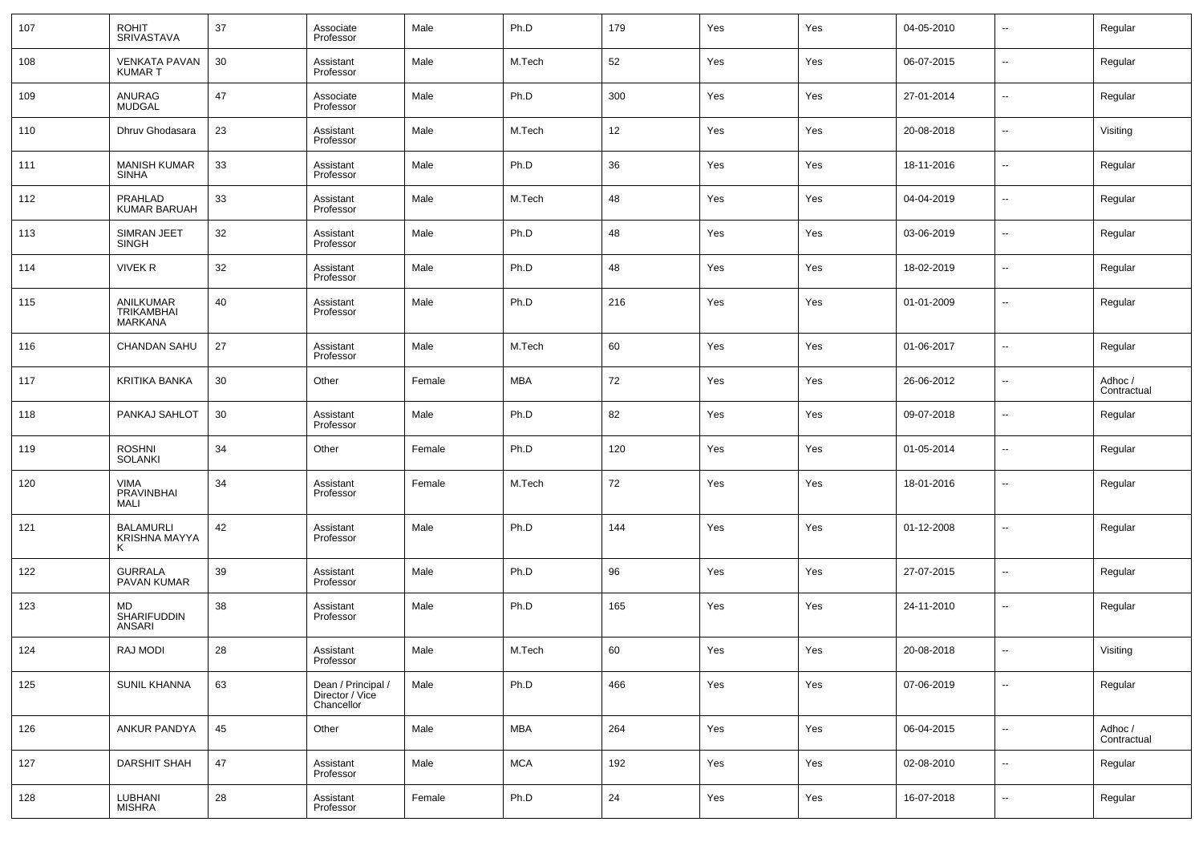| 107 | <b>ROHIT</b><br><b>SRIVASTAVA</b>         | 37 | Associate<br>Professor                              | Male   | Ph.D       | 179 | Yes | Yes | 04-05-2010 | $\overline{\phantom{a}}$ | Regular                |
|-----|-------------------------------------------|----|-----------------------------------------------------|--------|------------|-----|-----|-----|------------|--------------------------|------------------------|
| 108 | <b>VENKATA PAVAN</b><br>KUMAR T           | 30 | Assistant<br>Professor                              | Male   | M.Tech     | 52  | Yes | Yes | 06-07-2015 | $\overline{\phantom{a}}$ | Regular                |
| 109 | ANURAG<br><b>MUDGAL</b>                   | 47 | Associate<br>Professor                              | Male   | Ph.D       | 300 | Yes | Yes | 27-01-2014 | $\overline{\phantom{a}}$ | Regular                |
| 110 | Dhruv Ghodasara                           | 23 | Assistant<br>Professor                              | Male   | M.Tech     | 12  | Yes | Yes | 20-08-2018 | $\overline{\phantom{a}}$ | Visiting               |
| 111 | <b>MANISH KUMAR</b><br><b>SINHA</b>       | 33 | Assistant<br>Professor                              | Male   | Ph.D       | 36  | Yes | Yes | 18-11-2016 | $\overline{\phantom{a}}$ | Regular                |
| 112 | PRAHLAD<br><b>KUMAR BARUAH</b>            | 33 | Assistant<br>Professor                              | Male   | M.Tech     | 48  | Yes | Yes | 04-04-2019 | $\overline{\phantom{a}}$ | Regular                |
| 113 | <b>SIMRAN JEET</b><br>SINGH               | 32 | Assistant<br>Professor                              | Male   | Ph.D       | 48  | Yes | Yes | 03-06-2019 | $\overline{\phantom{a}}$ | Regular                |
| 114 | <b>VIVEK R</b>                            | 32 | Assistant<br>Professor                              | Male   | Ph.D       | 48  | Yes | Yes | 18-02-2019 | $\overline{\phantom{a}}$ | Regular                |
| 115 | ANILKUMAR<br><b>TRIKAMBHAI</b><br>MARKANA | 40 | Assistant<br>Professor                              | Male   | Ph.D       | 216 | Yes | Yes | 01-01-2009 | $\overline{\phantom{a}}$ | Regular                |
| 116 | <b>CHANDAN SAHU</b>                       | 27 | Assistant<br>Professor                              | Male   | M.Tech     | 60  | Yes | Yes | 01-06-2017 | $\overline{\phantom{a}}$ | Regular                |
| 117 | KRITIKA BANKA                             | 30 | Other                                               | Female | MBA        | 72  | Yes | Yes | 26-06-2012 | --                       | Adhoc /<br>Contractual |
| 118 | PANKAJ SAHLOT                             | 30 | Assistant<br>Professor                              | Male   | Ph.D       | 82  | Yes | Yes | 09-07-2018 | $\overline{\phantom{a}}$ | Regular                |
| 119 | <b>ROSHNI</b><br><b>SOLANKI</b>           | 34 | Other                                               | Female | Ph.D       | 120 | Yes | Yes | 01-05-2014 | --                       | Regular                |
| 120 | <b>VIMA</b><br>PRAVINBHAI<br><b>MALI</b>  | 34 | Assistant<br>Professor                              | Female | M.Tech     | 72  | Yes | Yes | 18-01-2016 | --                       | Regular                |
| 121 | <b>BALAMURLI</b><br>KRISHNA MAYYA<br>ĸ    | 42 | Assistant<br>Professor                              | Male   | Ph.D       | 144 | Yes | Yes | 01-12-2008 | $\overline{a}$           | Regular                |
| 122 | <b>GURRALA</b><br>PAVAN KUMAR             | 39 | Assistant<br>Professor                              | Male   | Ph.D       | 96  | Yes | Yes | 27-07-2015 | --                       | Regular                |
| 123 | MD<br><b>SHARIFUDDIN</b><br><b>ANSARI</b> | 38 | Assistant<br>Professor                              | Male   | Ph.D       | 165 | Yes | Yes | 24-11-2010 | ۰.                       | Regular                |
| 124 | <b>RAJ MODI</b>                           | 28 | Assistant<br>Professor                              | Male   | M.Tech     | 60  | Yes | Yes | 20-08-2018 | $\overline{a}$           | Visiting               |
| 125 | <b>SUNIL KHANNA</b>                       | 63 | Dean / Principal /<br>Director / Vice<br>Chancellor | Male   | Ph.D       | 466 | Yes | Yes | 07-06-2019 | Щ,                       | Regular                |
| 126 | ANKUR PANDYA                              | 45 | Other                                               | Male   | <b>MBA</b> | 264 | Yes | Yes | 06-04-2015 | $\overline{\phantom{a}}$ | Adhoc /<br>Contractual |
| 127 | <b>DARSHIT SHAH</b>                       | 47 | Assistant<br>Professor                              | Male   | <b>MCA</b> | 192 | Yes | Yes | 02-08-2010 | $\overline{\phantom{a}}$ | Regular                |
| 128 | LUBHANI<br><b>MISHRA</b>                  | 28 | Assistant<br>Professor                              | Female | Ph.D       | 24  | Yes | Yes | 16-07-2018 | $\overline{\phantom{a}}$ | Regular                |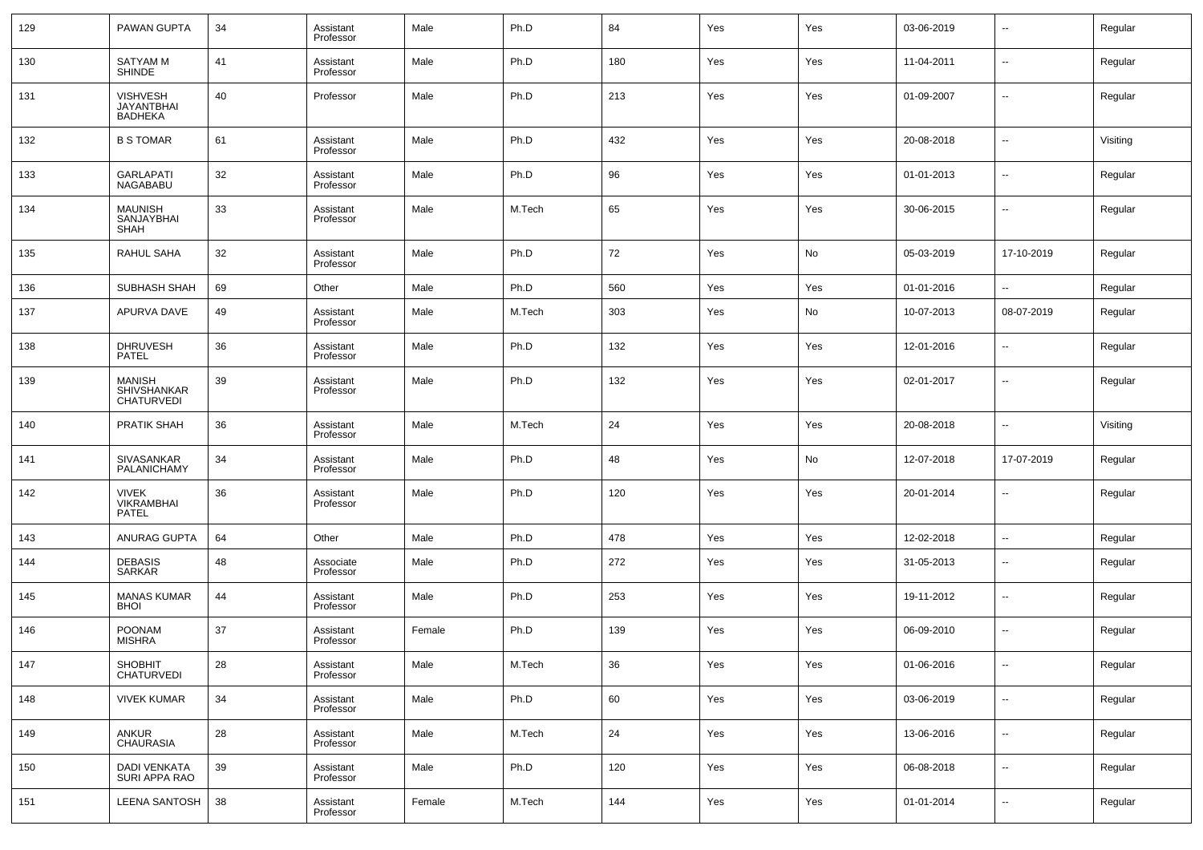| 129   | PAWAN GUPTA                                       | 34 | Assistant<br>Professor | Male   | Ph.D   | 84  | Yes | Yes | 03-06-2019 | ⊷                        | Regular  |
|-------|---------------------------------------------------|----|------------------------|--------|--------|-----|-----|-----|------------|--------------------------|----------|
| 130   | <b>SATYAM M</b><br><b>SHINDE</b>                  | 41 | Assistant<br>Professor | Male   | Ph.D   | 180 | Yes | Yes | 11-04-2011 | ⊷                        | Regular  |
| 131   | VISHVESH<br><b>JAYANTBHAI</b><br>BADHEKA          | 40 | Professor              | Male   | Ph.D   | 213 | Yes | Yes | 01-09-2007 | ⊷                        | Regular  |
| 132   | <b>B S TOMAR</b>                                  | 61 | Assistant<br>Professor | Male   | Ph.D   | 432 | Yes | Yes | 20-08-2018 | --                       | Visiting |
| 133   | <b>GARLAPATI</b><br>NAGABABU                      | 32 | Assistant<br>Professor | Male   | Ph.D   | 96  | Yes | Yes | 01-01-2013 | --                       | Regular  |
| 134   | <b>MAUNISH</b><br>SANJAYBHAI<br><b>SHAH</b>       | 33 | Assistant<br>Professor | Male   | M.Tech | 65  | Yes | Yes | 30-06-2015 | --                       | Regular  |
| 135   | RAHUL SAHA                                        | 32 | Assistant<br>Professor | Male   | Ph.D   | 72  | Yes | No  | 05-03-2019 | 17-10-2019               | Regular  |
| 136   | SUBHASH SHAH                                      | 69 | Other                  | Male   | Ph.D   | 560 | Yes | Yes | 01-01-2016 | --                       | Regular  |
| 137   | APURVA DAVE                                       | 49 | Assistant<br>Professor | Male   | M.Tech | 303 | Yes | No  | 10-07-2013 | 08-07-2019               | Regular  |
| 138   | <b>DHRUVESH</b><br>PATEL                          | 36 | Assistant<br>Professor | Male   | Ph.D   | 132 | Yes | Yes | 12-01-2016 | --                       | Regular  |
| 139   | <b>MANISH</b><br>SHIVSHANKAR<br>CHATURVEDI        | 39 | Assistant<br>Professor | Male   | Ph.D   | 132 | Yes | Yes | 02-01-2017 | --                       | Regular  |
| 140   | PRATIK SHAH                                       | 36 | Assistant<br>Professor | Male   | M.Tech | 24  | Yes | Yes | 20-08-2018 | $\overline{\phantom{a}}$ | Visiting |
| 141   | SIVASANKAR<br>PALANICHAMY                         | 34 | Assistant<br>Professor | Male   | Ph.D   | 48  | Yes | No  | 12-07-2018 | 17-07-2019               | Regular  |
| 142   | <b>VIVEK</b><br><b>VIKRAMBHAI</b><br><b>PATEL</b> | 36 | Assistant<br>Professor | Male   | Ph.D   | 120 | Yes | Yes | 20-01-2014 | --                       | Regular  |
| 143   | ANURAG GUPTA                                      | 64 | Other                  | Male   | Ph.D   | 478 | Yes | Yes | 12-02-2018 | н.                       | Regular  |
| 144   | <b>DEBASIS</b><br><b>SARKAR</b>                   | 48 | Associate<br>Professor | Male   | Ph.D   | 272 | Yes | Yes | 31-05-2013 | --                       | Regular  |
| 145   | <b>MANAS KUMAR</b><br><b>BHOI</b>                 | 44 | Assistant<br>Professor | Male   | Ph.D   | 253 | Yes | Yes | 19-11-2012 | -−                       | Regular  |
| 146   | <b>POONAM</b><br><b>MISHRA</b>                    | 37 | Assistant<br>Professor | Female | Ph.D   | 139 | Yes | Yes | 06-09-2010 | --                       | Regular  |
| $147$ | SHOBHIT<br>CHATURVEDI                             | 28 | Assistant<br>Professor | Male   | M.Tech | 36  | Yes | Yes | 01-06-2016 | $\sim$                   | Regular  |
| 148   | <b>VIVEK KUMAR</b>                                | 34 | Assistant<br>Professor | Male   | Ph.D   | 60  | Yes | Yes | 03-06-2019 | $\sim$                   | Regular  |
| 149   | ANKUR<br>CHAURASIA                                | 28 | Assistant<br>Professor | Male   | M.Tech | 24  | Yes | Yes | 13-06-2016 | $\sim$                   | Regular  |
| 150   | DADI VENKATA<br>SURI APPA RAO                     | 39 | Assistant<br>Professor | Male   | Ph.D   | 120 | Yes | Yes | 06-08-2018 | $\sim$                   | Regular  |
| 151   | LEENA SANTOSH                                     | 38 | Assistant<br>Professor | Female | M.Tech | 144 | Yes | Yes | 01-01-2014 | ⊶.                       | Regular  |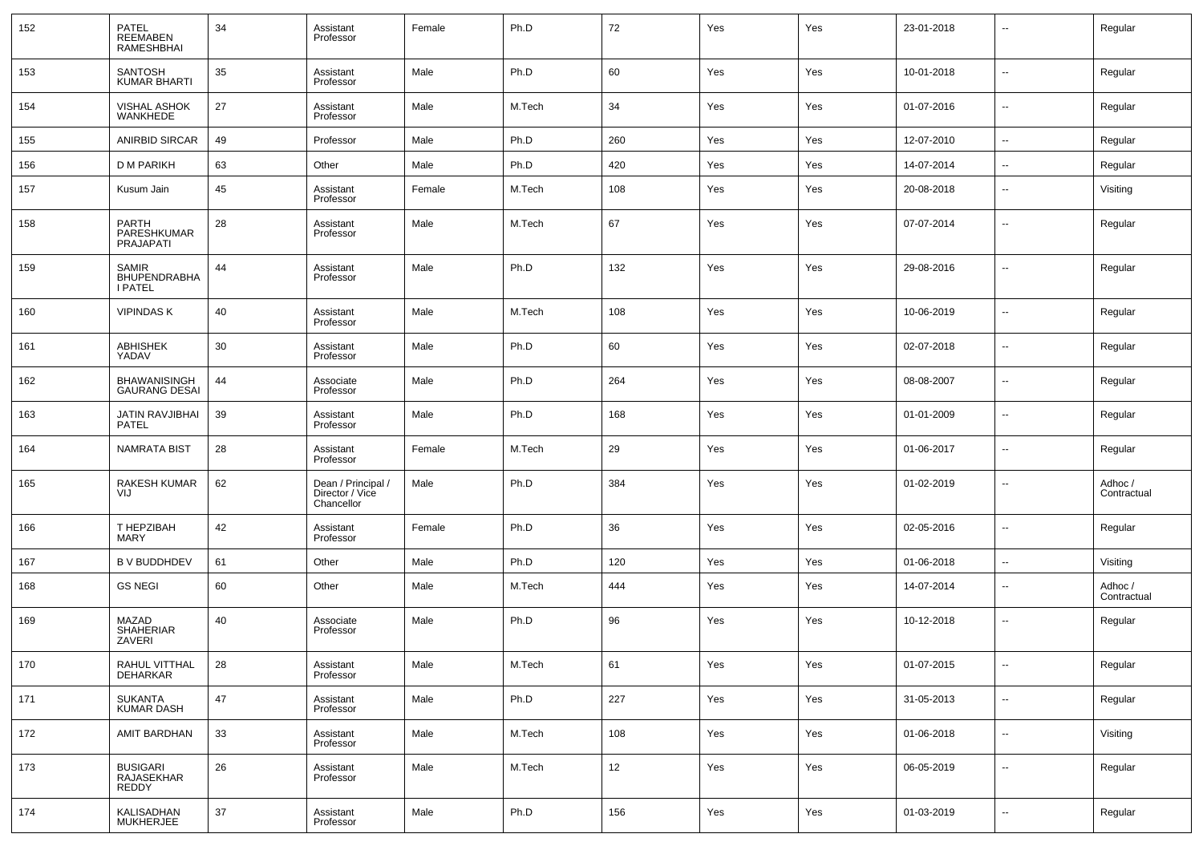| 152 | PATEL<br>REEMABEN<br>RAMESHBHAI                       | 34 | Assistant<br>Professor                              | Female | Ph.D   | 72  | Yes | Yes | 23-01-2018 | $\overline{\phantom{a}}$ | Regular                |
|-----|-------------------------------------------------------|----|-----------------------------------------------------|--------|--------|-----|-----|-----|------------|--------------------------|------------------------|
| 153 | SANTOSH<br><b>KUMAR BHARTI</b>                        | 35 | Assistant<br>Professor                              | Male   | Ph.D   | 60  | Yes | Yes | 10-01-2018 | ÷.                       | Regular                |
| 154 | VISHAL ASHOK<br>WANKHEDE                              | 27 | Assistant<br>Professor                              | Male   | M.Tech | 34  | Yes | Yes | 01-07-2016 | $\overline{a}$           | Regular                |
| 155 | <b>ANIRBID SIRCAR</b>                                 | 49 | Professor                                           | Male   | Ph.D   | 260 | Yes | Yes | 12-07-2010 | $\overline{\phantom{a}}$ | Regular                |
| 156 | <b>D M PARIKH</b>                                     | 63 | Other                                               | Male   | Ph.D   | 420 | Yes | Yes | 14-07-2014 | --                       | Regular                |
| 157 | Kusum Jain                                            | 45 | Assistant<br>Professor                              | Female | M.Tech | 108 | Yes | Yes | 20-08-2018 | $\overline{\phantom{a}}$ | Visiting               |
| 158 | PARTH<br>PARESHKUMAR<br>PRAJAPATI                     | 28 | Assistant<br>Professor                              | Male   | M.Tech | 67  | Yes | Yes | 07-07-2014 | $\overline{\phantom{a}}$ | Regular                |
| 159 | <b>SAMIR</b><br><b>BHUPENDRABHA</b><br><b>I PATEL</b> | 44 | Assistant<br>Professor                              | Male   | Ph.D   | 132 | Yes | Yes | 29-08-2016 | $\overline{\phantom{a}}$ | Regular                |
| 160 | <b>VIPINDAS K</b>                                     | 40 | Assistant<br>Professor                              | Male   | M.Tech | 108 | Yes | Yes | 10-06-2019 | ÷.                       | Regular                |
| 161 | ABHISHEK<br>YADAV                                     | 30 | Assistant<br>Professor                              | Male   | Ph.D   | 60  | Yes | Yes | 02-07-2018 | Ξ.                       | Regular                |
| 162 | <b>BHAWANISINGH</b><br><b>GAURANG DESAI</b>           | 44 | Associate<br>Professor                              | Male   | Ph.D   | 264 | Yes | Yes | 08-08-2007 | $\overline{a}$           | Regular                |
| 163 | JATIN RAVJIBHAI<br>PATEL                              | 39 | Assistant<br>Professor                              | Male   | Ph.D   | 168 | Yes | Yes | 01-01-2009 | $\overline{\phantom{a}}$ | Regular                |
| 164 | <b>NAMRATA BIST</b>                                   | 28 | Assistant<br>Professor                              | Female | M.Tech | 29  | Yes | Yes | 01-06-2017 | Ξ.                       | Regular                |
| 165 | RAKESH KUMAR<br>VIJ                                   | 62 | Dean / Principal /<br>Director / Vice<br>Chancellor | Male   | Ph.D   | 384 | Yes | Yes | 01-02-2019 | --                       | Adhoc /<br>Contractual |
| 166 | T HEPZIBAH<br><b>MARY</b>                             | 42 | Assistant<br>Professor                              | Female | Ph.D   | 36  | Yes | Yes | 02-05-2016 | $\overline{\phantom{a}}$ | Regular                |
| 167 | <b>B V BUDDHDEV</b>                                   | 61 | Other                                               | Male   | Ph.D   | 120 | Yes | Yes | 01-06-2018 | --                       | Visiting               |
| 168 | <b>GS NEGI</b>                                        | 60 | Other                                               | Male   | M.Tech | 444 | Yes | Yes | 14-07-2014 | --                       | Adhoc /<br>Contractual |
| 169 | MAZAD<br>SHAHERIAR<br>ZAVERI                          | 40 | Associate<br>Professor                              | Male   | Ph.D   | 96  | Yes | Yes | 10-12-2018 | --                       | Regular                |
| 170 | RAHUL VITTHAL<br>DEHARKAR                             | 28 | Assistant<br>Professor                              | Male   | M.Tech | 61  | Yes | Yes | 01-07-2015 | Ξ.                       | Regular                |
| 171 | SUKANTA<br><b>KUMAR DASH</b>                          | 47 | Assistant<br>Professor                              | Male   | Ph.D   | 227 | Yes | Yes | 31-05-2013 | щ.                       | Regular                |
| 172 | AMIT BARDHAN                                          | 33 | Assistant<br>Professor                              | Male   | M.Tech | 108 | Yes | Yes | 01-06-2018 | $\overline{\phantom{a}}$ | Visiting               |
| 173 | <b>BUSIGARI</b><br>RAJASEKHAR<br>REDDY                | 26 | Assistant<br>Professor                              | Male   | M.Tech | 12  | Yes | Yes | 06-05-2019 | Ξ.                       | Regular                |
| 174 | KALISADHAN<br><b>MUKHERJEE</b>                        | 37 | Assistant<br>Professor                              | Male   | Ph.D   | 156 | Yes | Yes | 01-03-2019 | --                       | Regular                |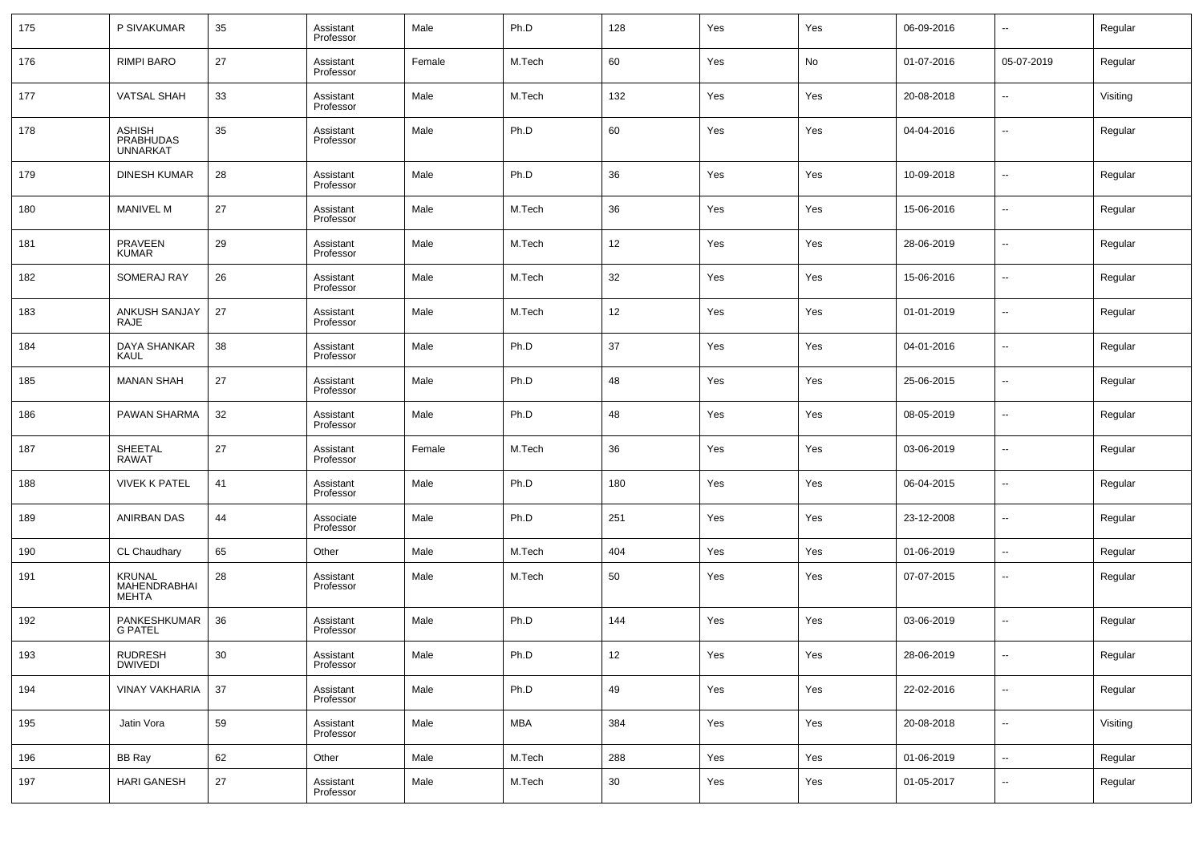| 175 | P SIVAKUMAR                                          | 35     | Assistant<br>Professor | Male   | Ph.D   | 128 | Yes | Yes | 06-09-2016 | $\overline{\phantom{a}}$ | Regular  |
|-----|------------------------------------------------------|--------|------------------------|--------|--------|-----|-----|-----|------------|--------------------------|----------|
| 176 | <b>RIMPI BARO</b>                                    | 27     | Assistant<br>Professor | Female | M.Tech | 60  | Yes | No  | 01-07-2016 | 05-07-2019               | Regular  |
| 177 | <b>VATSAL SHAH</b>                                   | 33     | Assistant<br>Professor | Male   | M.Tech | 132 | Yes | Yes | 20-08-2018 | --                       | Visiting |
| 178 | <b>ASHISH</b><br><b>PRABHUDAS</b><br><b>UNNARKAT</b> | 35     | Assistant<br>Professor | Male   | Ph.D   | 60  | Yes | Yes | 04-04-2016 | $\sim$                   | Regular  |
| 179 | <b>DINESH KUMAR</b>                                  | 28     | Assistant<br>Professor | Male   | Ph.D   | 36  | Yes | Yes | 10-09-2018 | --                       | Regular  |
| 180 | <b>MANIVEL M</b>                                     | 27     | Assistant<br>Professor | Male   | M.Tech | 36  | Yes | Yes | 15-06-2016 | ш.                       | Regular  |
| 181 | <b>PRAVEEN</b><br><b>KUMAR</b>                       | 29     | Assistant<br>Professor | Male   | M.Tech | 12  | Yes | Yes | 28-06-2019 | --                       | Regular  |
| 182 | SOMERAJ RAY                                          | 26     | Assistant<br>Professor | Male   | M.Tech | 32  | Yes | Yes | 15-06-2016 | $\overline{\phantom{a}}$ | Regular  |
| 183 | ANKUSH SANJAY<br><b>RAJE</b>                         | 27     | Assistant<br>Professor | Male   | M.Tech | 12  | Yes | Yes | 01-01-2019 | --                       | Regular  |
| 184 | DAYA SHANKAR<br>KAUL                                 | 38     | Assistant<br>Professor | Male   | Ph.D   | 37  | Yes | Yes | 04-01-2016 | $\sim$                   | Regular  |
| 185 | <b>MANAN SHAH</b>                                    | 27     | Assistant<br>Professor | Male   | Ph.D   | 48  | Yes | Yes | 25-06-2015 | --                       | Regular  |
| 186 | PAWAN SHARMA                                         | 32     | Assistant<br>Professor | Male   | Ph.D   | 48  | Yes | Yes | 08-05-2019 | $\sim$                   | Regular  |
| 187 | SHEETAL<br><b>RAWAT</b>                              | 27     | Assistant<br>Professor | Female | M.Tech | 36  | Yes | Yes | 03-06-2019 | --                       | Regular  |
| 188 | <b>VIVEK K PATEL</b>                                 | 41     | Assistant<br>Professor | Male   | Ph.D   | 180 | Yes | Yes | 06-04-2015 | $\overline{\phantom{a}}$ | Regular  |
| 189 | ANIRBAN DAS                                          | 44     | Associate<br>Professor | Male   | Ph.D   | 251 | Yes | Yes | 23-12-2008 | --                       | Regular  |
| 190 | CL Chaudhary                                         | 65     | Other                  | Male   | M.Tech | 404 | Yes | Yes | 01-06-2019 | $\overline{\phantom{a}}$ | Regular  |
| 191 | <b>KRUNAL</b><br>MAHENDRABHAI<br><b>MEHTA</b>        | 28     | Assistant<br>Professor | Male   | M.Tech | 50  | Yes | Yes | 07-07-2015 | $\overline{a}$           | Regular  |
| 192 | PANKESHKUMAR<br><b>G PATEL</b>                       | 36     | Assistant<br>Professor | Male   | Ph.D   | 144 | Yes | Yes | 03-06-2019 | ш.                       | Regular  |
| 193 | RUDRESH<br>DWIVEDI                                   | 30     | Assistant<br>Professor | Male   | Ph.D   | 12  | Yes | Yes | 28-06-2019 |                          | Regular  |
| 194 | <b>VINAY VAKHARIA</b>                                | 37     | Assistant<br>Professor | Male   | Ph.D   | 49  | Yes | Yes | 22-02-2016 | $\overline{\phantom{a}}$ | Regular  |
| 195 | Jatin Vora                                           | 59     | Assistant<br>Professor | Male   | MBA    | 384 | Yes | Yes | 20-08-2018 | u,                       | Visiting |
| 196 | <b>BB Ray</b>                                        | 62     | Other                  | Male   | M.Tech | 288 | Yes | Yes | 01-06-2019 | $\overline{\phantom{a}}$ | Regular  |
| 197 | <b>HARI GANESH</b>                                   | $27\,$ | Assistant<br>Professor | Male   | M.Tech | 30  | Yes | Yes | 01-05-2017 | $\overline{\phantom{a}}$ | Regular  |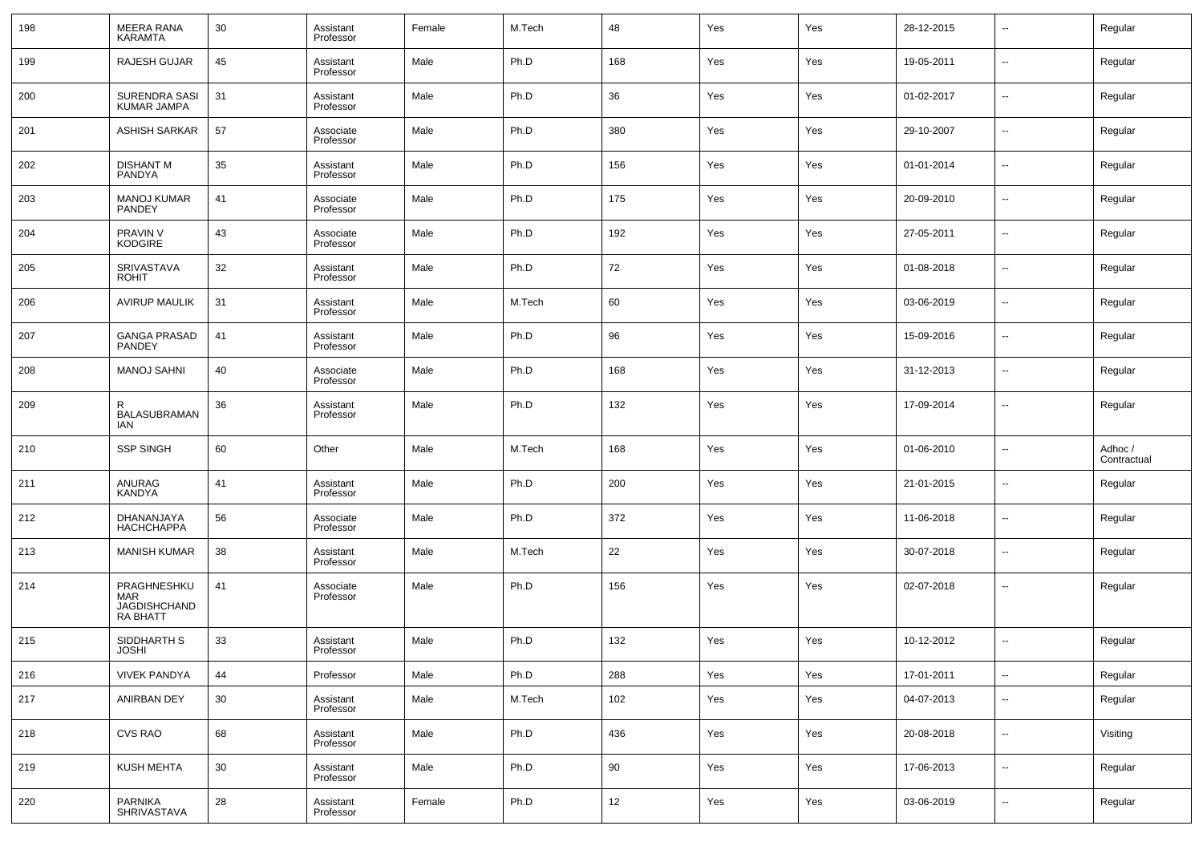| 198 | <b>MEERA RANA</b><br><b>KARAMTA</b>                   | 30 | Assistant<br>Professor | Female | M.Tech | 48  | Yes | Yes | 28-12-2015 | $\overline{\phantom{a}}$ | Regular                |
|-----|-------------------------------------------------------|----|------------------------|--------|--------|-----|-----|-----|------------|--------------------------|------------------------|
| 199 | <b>RAJESH GUJAR</b>                                   | 45 | Assistant<br>Professor | Male   | Ph.D   | 168 | Yes | Yes | 19-05-2011 | $\overline{\phantom{a}}$ | Regular                |
| 200 | SURENDRA SASI<br>KUMAR JAMPA                          | 31 | Assistant<br>Professor | Male   | Ph.D   | 36  | Yes | Yes | 01-02-2017 | $\overline{\phantom{a}}$ | Regular                |
| 201 | <b>ASHISH SARKAR</b>                                  | 57 | Associate<br>Professor | Male   | Ph.D   | 380 | Yes | Yes | 29-10-2007 | $\overline{\phantom{a}}$ | Regular                |
| 202 | <b>DISHANT M</b><br>PANDYA                            | 35 | Assistant<br>Professor | Male   | Ph.D   | 156 | Yes | Yes | 01-01-2014 | $\overline{\phantom{a}}$ | Regular                |
| 203 | <b>MANOJ KUMAR</b><br>PANDEY                          | 41 | Associate<br>Professor | Male   | Ph.D   | 175 | Yes | Yes | 20-09-2010 | $\overline{\phantom{a}}$ | Regular                |
| 204 | PRAVIN V<br><b>KODGIRE</b>                            | 43 | Associate<br>Professor | Male   | Ph.D   | 192 | Yes | Yes | 27-05-2011 | $\overline{\phantom{a}}$ | Regular                |
| 205 | SRIVASTAVA<br><b>ROHIT</b>                            | 32 | Assistant<br>Professor | Male   | Ph.D   | 72  | Yes | Yes | 01-08-2018 | $\overline{\phantom{a}}$ | Regular                |
| 206 | <b>AVIRUP MAULIK</b>                                  | 31 | Assistant<br>Professor | Male   | M.Tech | 60  | Yes | Yes | 03-06-2019 | $\overline{\phantom{a}}$ | Regular                |
| 207 | <b>GANGA PRASAD</b><br>PANDEY                         | 41 | Assistant<br>Professor | Male   | Ph.D   | 96  | Yes | Yes | 15-09-2016 | $\overline{\phantom{a}}$ | Regular                |
| 208 | <b>MANOJ SAHNI</b>                                    | 40 | Associate<br>Professor | Male   | Ph.D   | 168 | Yes | Yes | 31-12-2013 | $\overline{\phantom{a}}$ | Regular                |
| 209 | R<br>BALASUBRAMAN<br>IAN                              | 36 | Assistant<br>Professor | Male   | Ph.D   | 132 | Yes | Yes | 17-09-2014 | --                       | Regular                |
| 210 | <b>SSP SINGH</b>                                      | 60 | Other                  | Male   | M.Tech | 168 | Yes | Yes | 01-06-2010 | --                       | Adhoc /<br>Contractual |
| 211 | ANURAG<br>KANDYA                                      | 41 | Assistant<br>Professor | Male   | Ph.D   | 200 | Yes | Yes | 21-01-2015 | --                       | Regular                |
| 212 | DHANANJAYA<br><b>HACHCHAPPA</b>                       | 56 | Associate<br>Professor | Male   | Ph.D   | 372 | Yes | Yes | 11-06-2018 | --                       | Regular                |
| 213 | <b>MANISH KUMAR</b>                                   | 38 | Assistant<br>Professor | Male   | M.Tech | 22  | Yes | Yes | 30-07-2018 | --                       | Regular                |
| 214 | PRAGHNESHKU<br>MAR<br>JAGDISHCHAND<br><b>RA BHATT</b> | 41 | Associate<br>Professor | Male   | Ph.D   | 156 | Yes | Yes | 02-07-2018 | --                       | Regular                |
| 215 | SIDDHARTH S<br><b>JOSHI</b>                           | 33 | Assistant<br>Professor | Male   | Ph.D   | 132 | Yes | Yes | 10-12-2012 | $\overline{a}$           | Regular                |
| 216 | <b>VIVEK PANDYA</b>                                   | 44 | Professor              | Male   | Ph.D   | 288 | Yes | Yes | 17-01-2011 | Щ,                       | Regular                |
| 217 | ANIRBAN DEY                                           | 30 | Assistant<br>Professor | Male   | M.Tech | 102 | Yes | Yes | 04-07-2013 | $\overline{\phantom{a}}$ | Regular                |
| 218 | <b>CVS RAO</b>                                        | 68 | Assistant<br>Professor | Male   | Ph.D   | 436 | Yes | Yes | 20-08-2018 | $\overline{\phantom{a}}$ | Visiting               |
| 219 | KUSH MEHTA                                            | 30 | Assistant<br>Professor | Male   | Ph.D   | 90  | Yes | Yes | 17-06-2013 | н.                       | Regular                |
| 220 | PARNIKA<br>SHRIVASTAVA                                | 28 | Assistant<br>Professor | Female | Ph.D   | 12  | Yes | Yes | 03-06-2019 | $\overline{\phantom{a}}$ | Regular                |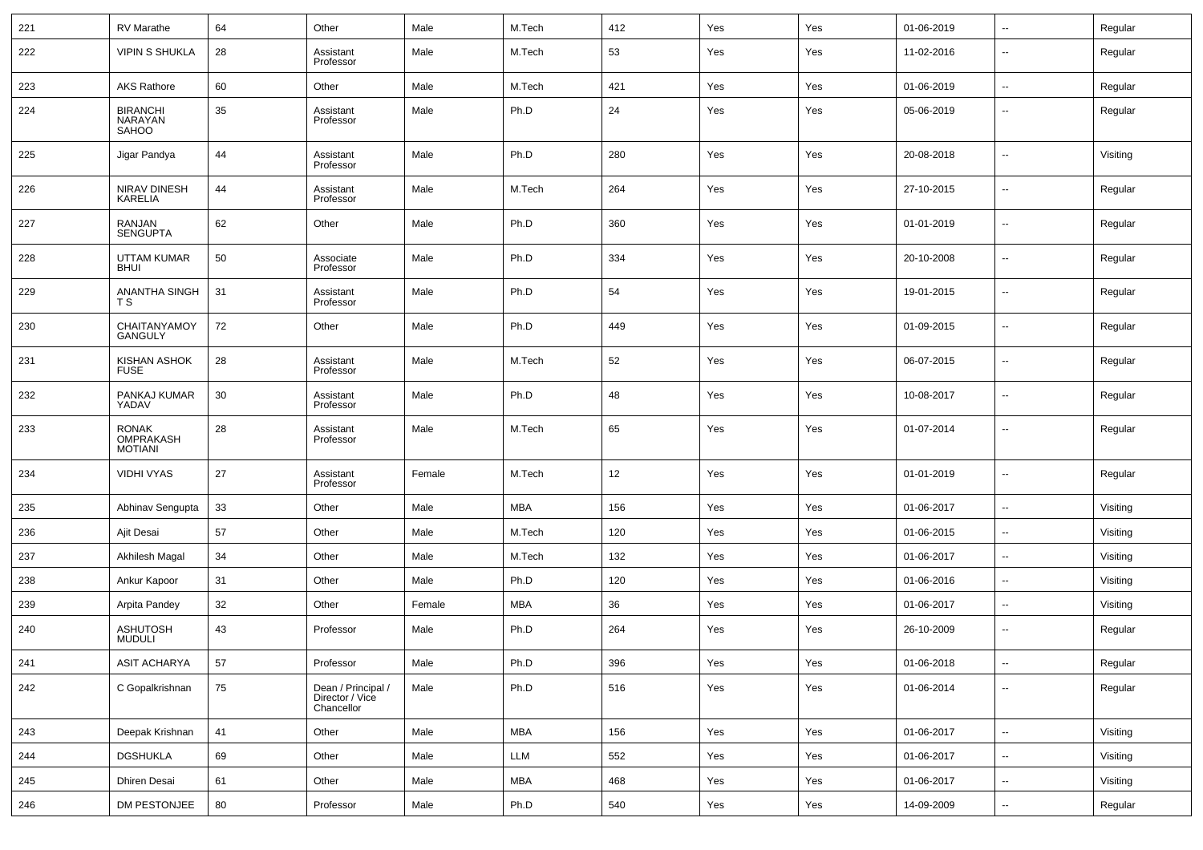| 221 | RV Marathe                                  | 64 | Other                                               | Male   | M.Tech     | 412 | Yes | Yes | 01-06-2019 | Ξ.                       | Regular  |
|-----|---------------------------------------------|----|-----------------------------------------------------|--------|------------|-----|-----|-----|------------|--------------------------|----------|
| 222 | <b>VIPIN S SHUKLA</b>                       | 28 | Assistant<br>Professor                              | Male   | M.Tech     | 53  | Yes | Yes | 11-02-2016 | --                       | Regular  |
| 223 | <b>AKS Rathore</b>                          | 60 | Other                                               | Male   | M.Tech     | 421 | Yes | Yes | 01-06-2019 | Ξ.                       | Regular  |
| 224 | <b>BIRANCHI</b><br>NARAYAN<br>SAHOO         | 35 | Assistant<br>Professor                              | Male   | Ph.D       | 24  | Yes | Yes | 05-06-2019 | $\overline{\phantom{a}}$ | Regular  |
| 225 | Jigar Pandya                                | 44 | Assistant<br>Professor                              | Male   | Ph.D       | 280 | Yes | Yes | 20-08-2018 | --                       | Visiting |
| 226 | NIRAV DINESH<br><b>KARELIA</b>              | 44 | Assistant<br>Professor                              | Male   | M.Tech     | 264 | Yes | Yes | 27-10-2015 | --                       | Regular  |
| 227 | RANJAN<br><b>SENGUPTA</b>                   | 62 | Other                                               | Male   | Ph.D       | 360 | Yes | Yes | 01-01-2019 | --                       | Regular  |
| 228 | <b>UTTAM KUMAR</b><br><b>BHUI</b>           | 50 | Associate<br>Professor                              | Male   | Ph.D       | 334 | Yes | Yes | 20-10-2008 | --                       | Regular  |
| 229 | ANANTHA SINGH<br>T S                        | 31 | Assistant<br>Professor                              | Male   | Ph.D       | 54  | Yes | Yes | 19-01-2015 | --                       | Regular  |
| 230 | CHAITANYAMOY<br><b>GANGULY</b>              | 72 | Other                                               | Male   | Ph.D       | 449 | Yes | Yes | 01-09-2015 | --                       | Regular  |
| 231 | KISHAN ASHOK<br><b>FUSE</b>                 | 28 | Assistant<br>Professor                              | Male   | M.Tech     | 52  | Yes | Yes | 06-07-2015 | --                       | Regular  |
| 232 | PANKAJ KUMAR<br>YADAV                       | 30 | Assistant<br>Professor                              | Male   | Ph.D       | 48  | Yes | Yes | 10-08-2017 | --                       | Regular  |
| 233 | <b>RONAK</b><br>OMPRAKASH<br><b>MOTIANI</b> | 28 | Assistant<br>Professor                              | Male   | M.Tech     | 65  | Yes | Yes | 01-07-2014 | --                       | Regular  |
| 234 | <b>VIDHI VYAS</b>                           | 27 | Assistant<br>Professor                              | Female | M.Tech     | 12  | Yes | Yes | 01-01-2019 | --                       | Regular  |
| 235 | Abhinav Sengupta                            | 33 | Other                                               | Male   | MBA        | 156 | Yes | Yes | 01-06-2017 | --                       | Visiting |
| 236 | Ajit Desai                                  | 57 | Other                                               | Male   | M.Tech     | 120 | Yes | Yes | 01-06-2015 | --                       | Visiting |
| 237 | Akhilesh Magal                              | 34 | Other                                               | Male   | M.Tech     | 132 | Yes | Yes | 01-06-2017 | Ξ.                       | Visiting |
| 238 | Ankur Kapoor                                | 31 | Other                                               | Male   | Ph.D       | 120 | Yes | Yes | 01-06-2016 | --                       | Visiting |
| 239 | Arpita Pandey                               | 32 | Other                                               | Female | <b>MBA</b> | 36  | Yes | Yes | 01-06-2017 | --                       | Visiting |
| 240 | <b>ASHUTOSH</b><br><b>MUDULI</b>            | 43 | Professor                                           | Male   | Ph.D       | 264 | Yes | Yes | 26-10-2009 | ÷.                       | Regular  |
| 241 | <b>ASIT ACHARYA</b>                         | 57 | Professor                                           | Male   | Ph.D       | 396 | Yes | Yes | 01-06-2018 | $\overline{\phantom{a}}$ | Regular  |
| 242 | C Gopalkrishnan                             | 75 | Dean / Principal /<br>Director / Vice<br>Chancellor | Male   | Ph.D       | 516 | Yes | Yes | 01-06-2014 | Ξ.                       | Regular  |
| 243 | Deepak Krishnan                             | 41 | Other                                               | Male   | <b>MBA</b> | 156 | Yes | Yes | 01-06-2017 | $\overline{\phantom{a}}$ | Visiting |
| 244 | <b>DGSHUKLA</b>                             | 69 | Other                                               | Male   | LLM        | 552 | Yes | Yes | 01-06-2017 | н.                       | Visiting |
| 245 | <b>Dhiren Desai</b>                         | 61 | Other                                               | Male   | MBA        | 468 | Yes | Yes | 01-06-2017 | ۰.                       | Visiting |
| 246 | DM PESTONJEE                                | 80 | Professor                                           | Male   | Ph.D       | 540 | Yes | Yes | 14-09-2009 | ۰.                       | Regular  |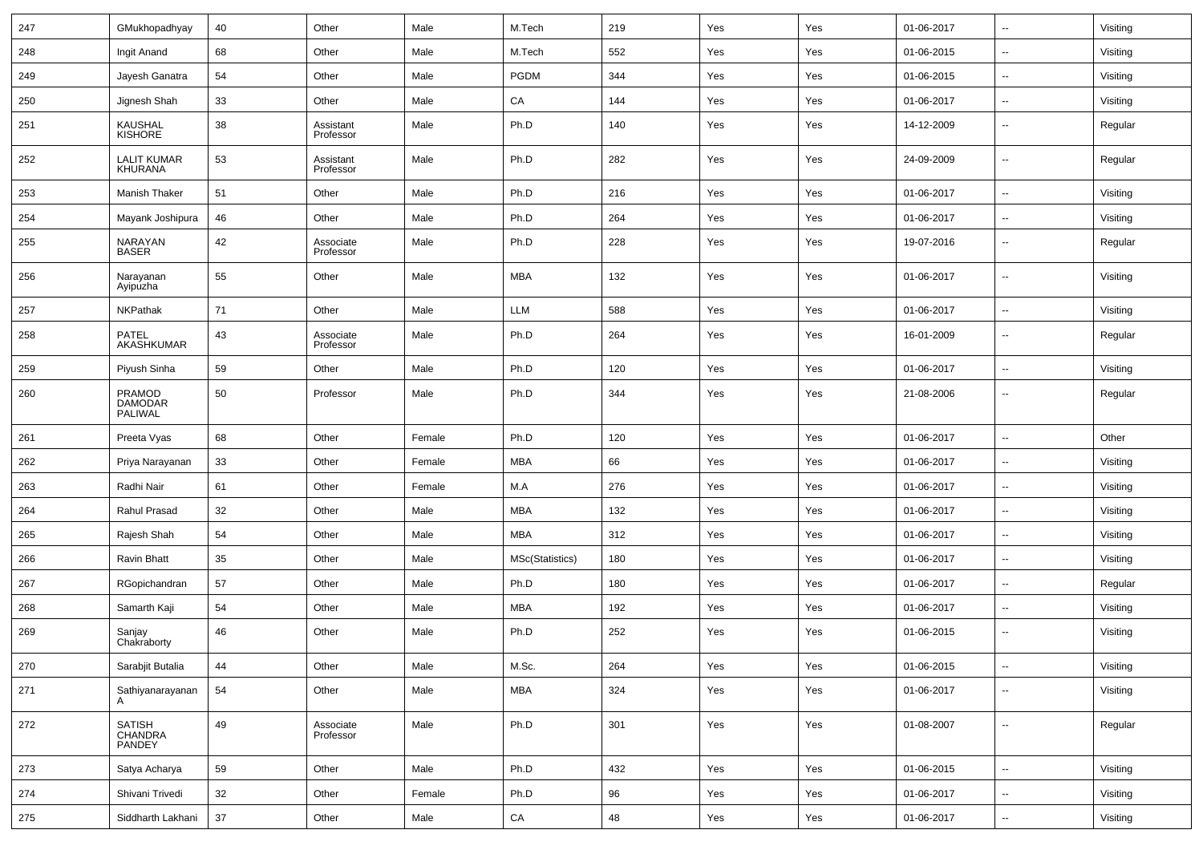| 247 | GMukhopadhyay                        | 40 | Other                  | Male   | M.Tech          | 219 | Yes | Yes | 01-06-2017 | $\overline{\phantom{a}}$     | Visiting |
|-----|--------------------------------------|----|------------------------|--------|-----------------|-----|-----|-----|------------|------------------------------|----------|
| 248 | Ingit Anand                          | 68 | Other                  | Male   | M.Tech          | 552 | Yes | Yes | 01-06-2015 | $\overline{\phantom{a}}$     | Visiting |
| 249 | Jayesh Ganatra                       | 54 | Other                  | Male   | <b>PGDM</b>     | 344 | Yes | Yes | 01-06-2015 | $\overline{\phantom{a}}$     | Visiting |
| 250 | Jignesh Shah                         | 33 | Other                  | Male   | CA              | 144 | Yes | Yes | 01-06-2017 | $\overline{\phantom{a}}$     | Visiting |
| 251 | KAUSHAL<br>KISHORE                   | 38 | Assistant<br>Professor | Male   | Ph.D            | 140 | Yes | Yes | 14-12-2009 | $\overline{\phantom{a}}$     | Regular  |
| 252 | <b>LALIT KUMAR</b><br><b>KHURANA</b> | 53 | Assistant<br>Professor | Male   | Ph.D            | 282 | Yes | Yes | 24-09-2009 | $\qquad \qquad \blacksquare$ | Regular  |
| 253 | Manish Thaker                        | 51 | Other                  | Male   | Ph.D            | 216 | Yes | Yes | 01-06-2017 | $\overline{\phantom{a}}$     | Visiting |
| 254 | Mayank Joshipura                     | 46 | Other                  | Male   | Ph.D            | 264 | Yes | Yes | 01-06-2017 | $\overline{\phantom{a}}$     | Visiting |
| 255 | NARAYAN<br><b>BASER</b>              | 42 | Associate<br>Professor | Male   | Ph.D            | 228 | Yes | Yes | 19-07-2016 | $\overline{\phantom{a}}$     | Regular  |
| 256 | Narayanan<br>Ayipuzha                | 55 | Other                  | Male   | MBA             | 132 | Yes | Yes | 01-06-2017 | $\overline{\phantom{a}}$     | Visiting |
| 257 | <b>NKPathak</b>                      | 71 | Other                  | Male   | <b>LLM</b>      | 588 | Yes | Yes | 01-06-2017 | $\overline{\phantom{a}}$     | Visiting |
| 258 | PATEL<br>AKASHKUMAR                  | 43 | Associate<br>Professor | Male   | Ph.D            | 264 | Yes | Yes | 16-01-2009 | $\overline{\phantom{a}}$     | Regular  |
| 259 | Piyush Sinha                         | 59 | Other                  | Male   | Ph.D            | 120 | Yes | Yes | 01-06-2017 | $\overline{\phantom{a}}$     | Visiting |
| 260 | PRAMOD<br>DAMODAR<br>PALIWAL         | 50 | Professor              | Male   | Ph.D            | 344 | Yes | Yes | 21-08-2006 | $\overline{\phantom{a}}$     | Regular  |
| 261 | Preeta Vyas                          | 68 | Other                  | Female | Ph.D            | 120 | Yes | Yes | 01-06-2017 | $\overline{\phantom{a}}$     | Other    |
| 262 | Priya Narayanan                      | 33 | Other                  | Female | <b>MBA</b>      | 66  | Yes | Yes | 01-06-2017 | $\overline{\phantom{a}}$     | Visiting |
| 263 | Radhi Nair                           | 61 | Other                  | Female | M.A             | 276 | Yes | Yes | 01-06-2017 | $\overline{\phantom{a}}$     | Visiting |
| 264 | Rahul Prasad                         | 32 | Other                  | Male   | <b>MBA</b>      | 132 | Yes | Yes | 01-06-2017 | $\overline{\phantom{a}}$     | Visiting |
| 265 | Rajesh Shah                          | 54 | Other                  | Male   | <b>MBA</b>      | 312 | Yes | Yes | 01-06-2017 | $\overline{\phantom{a}}$     | Visiting |
| 266 | Ravin Bhatt                          | 35 | Other                  | Male   | MSc(Statistics) | 180 | Yes | Yes | 01-06-2017 | $\overline{\phantom{a}}$     | Visiting |
| 267 | RGopichandran                        | 57 | Other                  | Male   | Ph.D            | 180 | Yes | Yes | 01-06-2017 | $\qquad \qquad \blacksquare$ | Regular  |
| 268 | Samarth Kaji                         | 54 | Other                  | Male   | MBA             | 192 | Yes | Yes | 01-06-2017 | $\overline{\phantom{a}}$     | Visiting |
| 269 | Sanjay<br>Chakraborty                | 46 | Other                  | Male   | Ph.D            | 252 | Yes | Yes | 01-06-2015 | $\overline{\phantom{a}}$     | Visiting |
| 270 | Sarabjit Butalia                     | 44 | Other                  | Male   | M.Sc.           | 264 | Yes | Yes | 01-06-2015 | $\qquad \qquad \blacksquare$ | Visiting |
| 271 | Sathiyanarayanan<br>A                | 54 | Other                  | Male   | MBA             | 324 | Yes | Yes | 01-06-2017 | $\overline{\phantom{a}}$     | Visiting |
| 272 | SATISH<br>CHANDRA<br>PANDEY          | 49 | Associate<br>Professor | Male   | Ph.D            | 301 | Yes | Yes | 01-08-2007 | $\overline{\phantom{a}}$     | Regular  |
| 273 | Satya Acharya                        | 59 | Other                  | Male   | Ph.D            | 432 | Yes | Yes | 01-06-2015 | $\overline{\phantom{a}}$     | Visiting |
| 274 | Shivani Trivedi                      | 32 | Other                  | Female | Ph.D            | 96  | Yes | Yes | 01-06-2017 | $\overline{\phantom{a}}$     | Visiting |
| 275 | Siddharth Lakhani                    | 37 | Other                  | Male   | ${\sf CA}$      | 48  | Yes | Yes | 01-06-2017 | $\overline{\phantom{a}}$     | Visiting |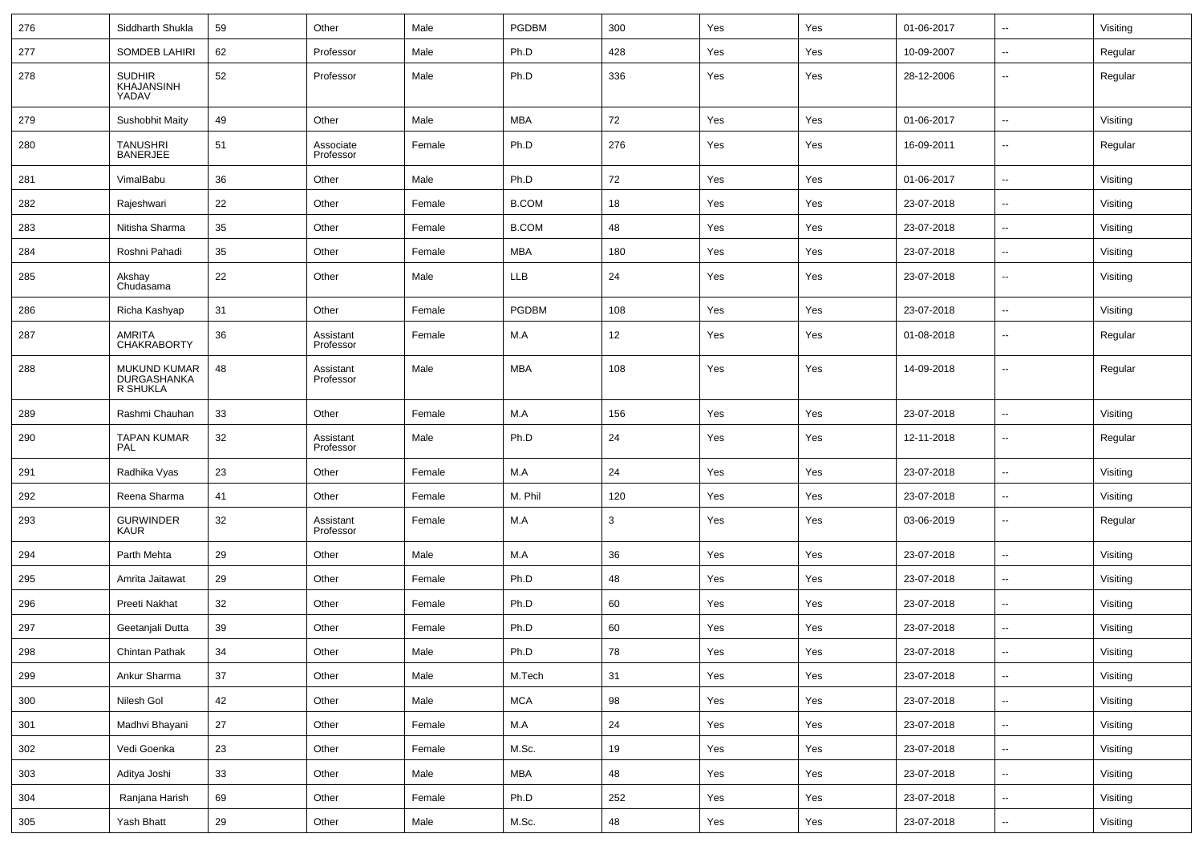| 276 | Siddharth Shukla                               | 59 | Other                  | Male   | PGDBM        | 300 | Yes | Yes | 01-06-2017 | $\overline{\phantom{a}}$ | Visiting |
|-----|------------------------------------------------|----|------------------------|--------|--------------|-----|-----|-----|------------|--------------------------|----------|
| 277 | <b>SOMDEB LAHIRI</b>                           | 62 | Professor              | Male   | Ph.D         | 428 | Yes | Yes | 10-09-2007 | $\overline{\phantom{a}}$ | Regular  |
| 278 | <b>SUDHIR</b><br>KHAJANSINH<br>YADAV           | 52 | Professor              | Male   | Ph.D         | 336 | Yes | Yes | 28-12-2006 | $\overline{\phantom{a}}$ | Regular  |
| 279 | Sushobhit Maity                                | 49 | Other                  | Male   | MBA          | 72  | Yes | Yes | 01-06-2017 | $\overline{\phantom{a}}$ | Visiting |
| 280 | <b>TANUSHRI</b><br><b>BANERJEE</b>             | 51 | Associate<br>Professor | Female | Ph.D         | 276 | Yes | Yes | 16-09-2011 | $\overline{\phantom{a}}$ | Regular  |
| 281 | VimalBabu                                      | 36 | Other                  | Male   | Ph.D         | 72  | Yes | Yes | 01-06-2017 | $\ddotsc$                | Visiting |
| 282 | Rajeshwari                                     | 22 | Other                  | Female | <b>B.COM</b> | 18  | Yes | Yes | 23-07-2018 | $\overline{\phantom{a}}$ | Visiting |
| 283 | Nitisha Sharma                                 | 35 | Other                  | Female | <b>B.COM</b> | 48  | Yes | Yes | 23-07-2018 | $\overline{\phantom{a}}$ | Visiting |
| 284 | Roshni Pahadi                                  | 35 | Other                  | Female | MBA          | 180 | Yes | Yes | 23-07-2018 | $\overline{\phantom{a}}$ | Visiting |
| 285 | Akshay<br>Chudasama                            | 22 | Other                  | Male   | LLB          | 24  | Yes | Yes | 23-07-2018 | $\overline{\phantom{a}}$ | Visiting |
| 286 | Richa Kashyap                                  | 31 | Other                  | Female | <b>PGDBM</b> | 108 | Yes | Yes | 23-07-2018 | $\overline{\phantom{a}}$ | Visiting |
| 287 | AMRITA<br><b>CHAKRABORTY</b>                   | 36 | Assistant<br>Professor | Female | M.A          | 12  | Yes | Yes | 01-08-2018 | $\overline{\phantom{a}}$ | Regular  |
| 288 | MUKUND KUMAR<br><b>DURGASHANKA</b><br>R SHUKLA | 48 | Assistant<br>Professor | Male   | MBA          | 108 | Yes | Yes | 14-09-2018 | $\overline{\phantom{a}}$ | Regular  |
| 289 | Rashmi Chauhan                                 | 33 | Other                  | Female | M.A          | 156 | Yes | Yes | 23-07-2018 | $\overline{\phantom{a}}$ | Visiting |
| 290 | <b>TAPAN KUMAR</b><br>PAL                      | 32 | Assistant<br>Professor | Male   | Ph.D         | 24  | Yes | Yes | 12-11-2018 | $\overline{\phantom{a}}$ | Regular  |
| 291 | Radhika Vyas                                   | 23 | Other                  | Female | M.A          | 24  | Yes | Yes | 23-07-2018 | $\overline{\phantom{a}}$ | Visiting |
| 292 | Reena Sharma                                   | 41 | Other                  | Female | M. Phil      | 120 | Yes | Yes | 23-07-2018 | $\overline{\phantom{a}}$ | Visiting |
| 293 | <b>GURWINDER</b><br>KAUR                       | 32 | Assistant<br>Professor | Female | M.A          | 3   | Yes | Yes | 03-06-2019 | $\overline{\phantom{a}}$ | Regular  |
| 294 | Parth Mehta                                    | 29 | Other                  | Male   | M.A          | 36  | Yes | Yes | 23-07-2018 | $\overline{\phantom{a}}$ | Visiting |
| 295 | Amrita Jaitawat                                | 29 | Other                  | Female | Ph.D         | 48  | Yes | Yes | 23-07-2018 | $\overline{\phantom{a}}$ | Visiting |
| 296 | Preeti Nakhat                                  | 32 | Other                  | Female | Ph.D         | 60  | Yes | Yes | 23-07-2018 | $\overline{\phantom{a}}$ | Visiting |
| 297 | Geetanjali Dutta                               | 39 | Other                  | Female | Ph.D         | 60  | Yes | Yes | 23-07-2018 | $\overline{\phantom{a}}$ | Visiting |
| 298 | Chintan Pathak                                 | 34 | Other                  | Male   | Ph.D         | 78  | Yes | Yes | 23-07-2018 | ۰.                       | Visiting |
| 299 | Ankur Sharma                                   | 37 | Other                  | Male   | M.Tech       | 31  | Yes | Yes | 23-07-2018 | $\overline{\phantom{a}}$ | Visiting |
| 300 | Nilesh Gol                                     | 42 | Other                  | Male   | <b>MCA</b>   | 98  | Yes | Yes | 23-07-2018 | $\overline{\phantom{a}}$ | Visiting |
| 301 | Madhvi Bhayani                                 | 27 | Other                  | Female | M.A          | 24  | Yes | Yes | 23-07-2018 | $\overline{\phantom{a}}$ | Visiting |
| 302 | Vedi Goenka                                    | 23 | Other                  | Female | M.Sc.        | 19  | Yes | Yes | 23-07-2018 | $\overline{\phantom{a}}$ | Visiting |
| 303 | Aditya Joshi                                   | 33 | Other                  | Male   | <b>MBA</b>   | 48  | Yes | Yes | 23-07-2018 | ۰.                       | Visiting |
| 304 | Ranjana Harish                                 | 69 | Other                  | Female | Ph.D         | 252 | Yes | Yes | 23-07-2018 | ۰.                       | Visiting |
| 305 | Yash Bhatt                                     | 29 | Other                  | Male   | M.Sc.        | 48  | Yes | Yes | 23-07-2018 | ۰.                       | Visiting |